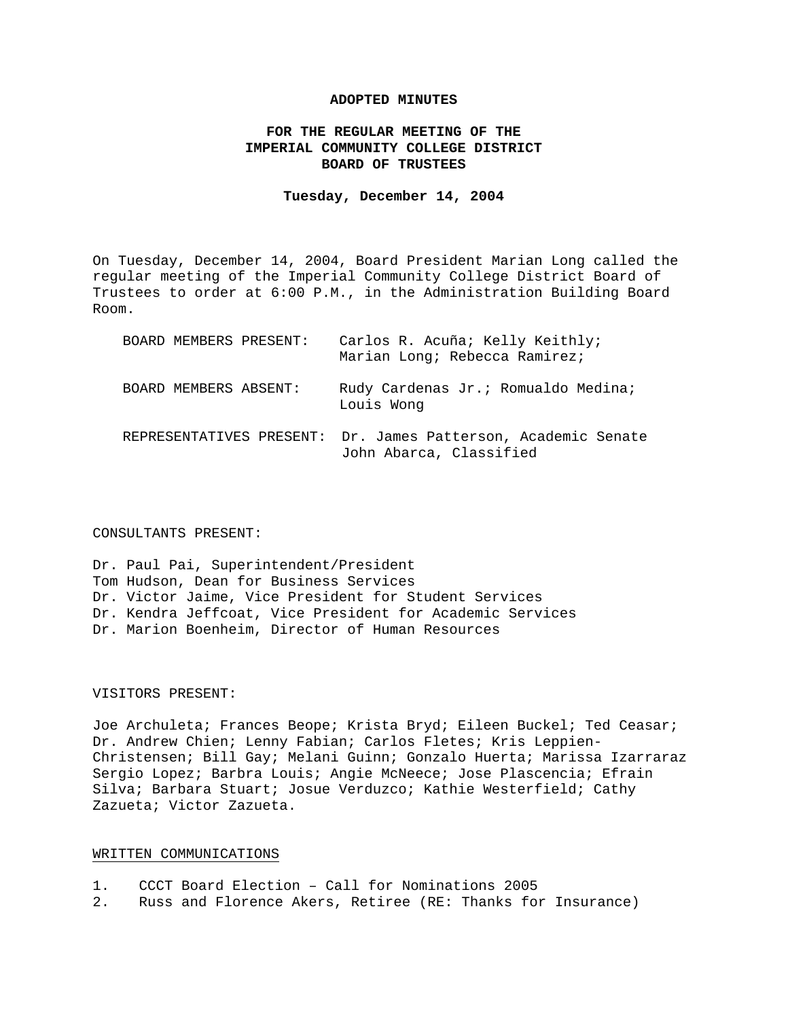# **ADOPTED MINUTES**

# **FOR THE REGULAR MEETING OF THE IMPERIAL COMMUNITY COLLEGE DISTRICT BOARD OF TRUSTEES**

## **Tuesday, December 14, 2004**

On Tuesday, December 14, 2004, Board President Marian Long called the regular meeting of the Imperial Community College District Board of Trustees to order at 6:00 P.M., in the Administration Building Board Room.

| BOARD MEMBERS PRESENT: | Carlos R. Acuña; Kelly Keithly;<br>Marian Long; Rebecca Ramirez;                         |
|------------------------|------------------------------------------------------------------------------------------|
| BOARD MEMBERS ABSENT:  | Rudy Cardenas Jr. ; Romualdo Medina;<br>Louis Wong                                       |
|                        | REPRESENTATIVES PRESENT: Dr. James Patterson, Academic Senate<br>John Abarca, Classified |

### CONSULTANTS PRESENT:

Dr. Paul Pai, Superintendent/President Tom Hudson, Dean for Business Services Dr. Victor Jaime, Vice President for Student Services Dr. Kendra Jeffcoat, Vice President for Academic Services Dr. Marion Boenheim, Director of Human Resources

# VISITORS PRESENT:

Joe Archuleta; Frances Beope; Krista Bryd; Eileen Buckel; Ted Ceasar; Dr. Andrew Chien; Lenny Fabian; Carlos Fletes; Kris Leppien-Christensen; Bill Gay; Melani Guinn; Gonzalo Huerta; Marissa Izarraraz Sergio Lopez; Barbra Louis; Angie McNeece; Jose Plascencia; Efrain Silva; Barbara Stuart; Josue Verduzco; Kathie Westerfield; Cathy Zazueta; Victor Zazueta.

# WRITTEN COMMUNICATIONS

| CCCT Board Election - Call for Nominations 2005<br>$\perp$ . |  |
|--------------------------------------------------------------|--|
|--------------------------------------------------------------|--|

2. Russ and Florence Akers, Retiree (RE: Thanks for Insurance)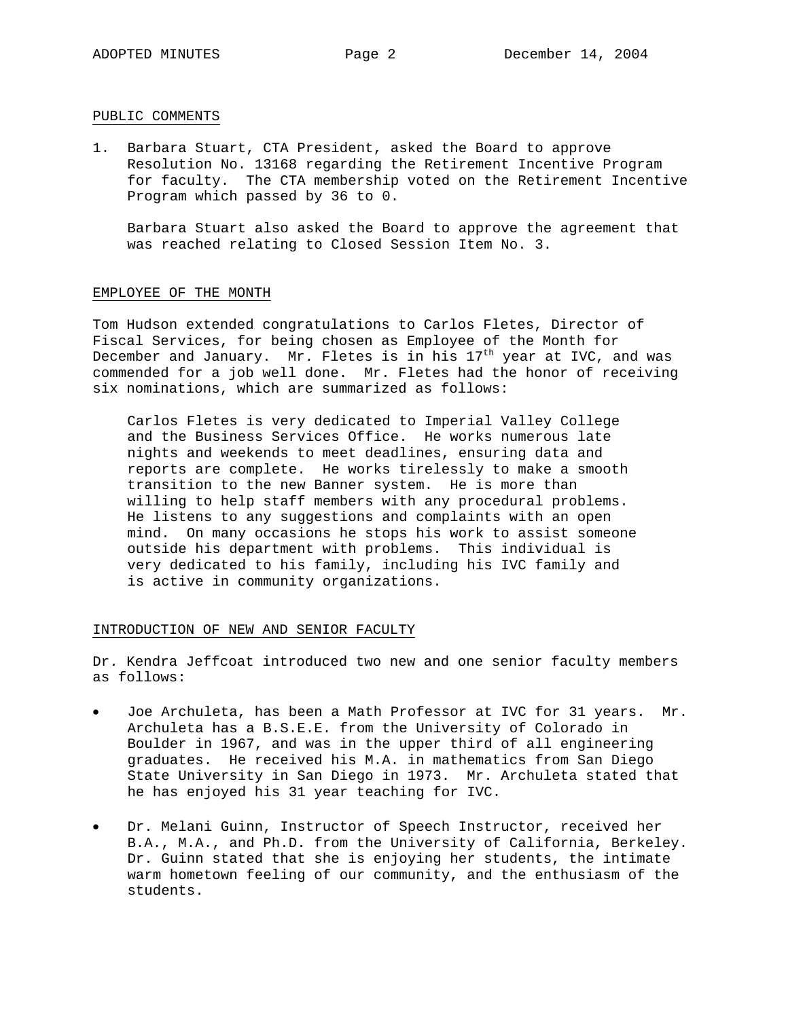# PUBLIC COMMENTS

1. Barbara Stuart, CTA President, asked the Board to approve Resolution No. 13168 regarding the Retirement Incentive Program for faculty. The CTA membership voted on the Retirement Incentive Program which passed by 36 to 0.

 Barbara Stuart also asked the Board to approve the agreement that was reached relating to Closed Session Item No. 3.

## EMPLOYEE OF THE MONTH

Tom Hudson extended congratulations to Carlos Fletes, Director of Fiscal Services, for being chosen as Employee of the Month for December and January. Mr. Fletes is in his  $17<sup>th</sup>$  year at IVC, and was commended for a job well done. Mr. Fletes had the honor of receiving six nominations, which are summarized as follows:

Carlos Fletes is very dedicated to Imperial Valley College and the Business Services Office. He works numerous late nights and weekends to meet deadlines, ensuring data and reports are complete. He works tirelessly to make a smooth transition to the new Banner system. He is more than willing to help staff members with any procedural problems. He listens to any suggestions and complaints with an open mind. On many occasions he stops his work to assist someone outside his department with problems. This individual is very dedicated to his family, including his IVC family and is active in community organizations.

# INTRODUCTION OF NEW AND SENIOR FACULTY

Dr. Kendra Jeffcoat introduced two new and one senior faculty members as follows:

- Joe Archuleta, has been a Math Professor at IVC for 31 years. Mr. Archuleta has a B.S.E.E. from the University of Colorado in Boulder in 1967, and was in the upper third of all engineering graduates. He received his M.A. in mathematics from San Diego State University in San Diego in 1973. Mr. Archuleta stated that he has enjoyed his 31 year teaching for IVC.
- Dr. Melani Guinn, Instructor of Speech Instructor, received her B.A., M.A., and Ph.D. from the University of California, Berkeley. Dr. Guinn stated that she is enjoying her students, the intimate warm hometown feeling of our community, and the enthusiasm of the students.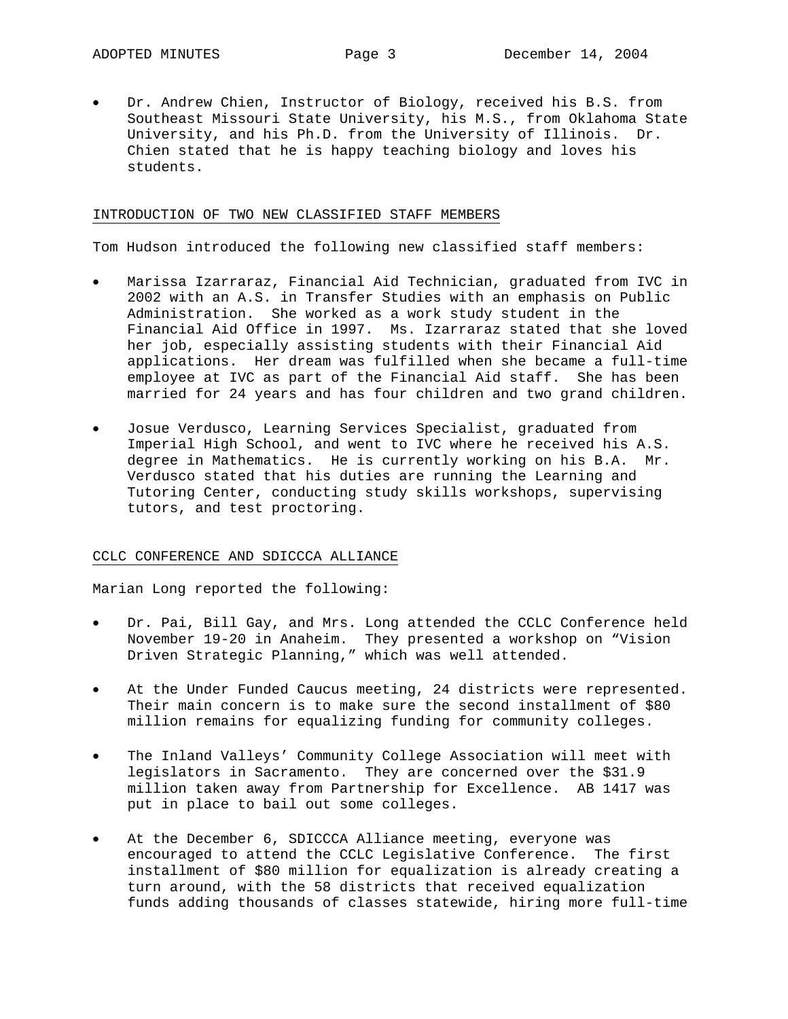• Dr. Andrew Chien, Instructor of Biology, received his B.S. from Southeast Missouri State University, his M.S., from Oklahoma State University, and his Ph.D. from the University of Illinois. Dr. Chien stated that he is happy teaching biology and loves his students.

# INTRODUCTION OF TWO NEW CLASSIFIED STAFF MEMBERS

Tom Hudson introduced the following new classified staff members:

- Marissa Izarraraz, Financial Aid Technician, graduated from IVC in 2002 with an A.S. in Transfer Studies with an emphasis on Public Administration. She worked as a work study student in the Financial Aid Office in 1997. Ms. Izarraraz stated that she loved her job, especially assisting students with their Financial Aid applications. Her dream was fulfilled when she became a full-time employee at IVC as part of the Financial Aid staff. She has been married for 24 years and has four children and two grand children.
- Josue Verdusco, Learning Services Specialist, graduated from Imperial High School, and went to IVC where he received his A.S. degree in Mathematics. He is currently working on his B.A. Mr. Verdusco stated that his duties are running the Learning and Tutoring Center, conducting study skills workshops, supervising tutors, and test proctoring.

## CCLC CONFERENCE AND SDICCCA ALLIANCE

Marian Long reported the following:

- Dr. Pai, Bill Gay, and Mrs. Long attended the CCLC Conference held November 19-20 in Anaheim. They presented a workshop on "Vision Driven Strategic Planning," which was well attended.
- At the Under Funded Caucus meeting, 24 districts were represented. Their main concern is to make sure the second installment of \$80 million remains for equalizing funding for community colleges.
- The Inland Valleys' Community College Association will meet with legislators in Sacramento. They are concerned over the \$31.9 million taken away from Partnership for Excellence. AB 1417 was put in place to bail out some colleges.
- At the December 6, SDICCCA Alliance meeting, everyone was encouraged to attend the CCLC Legislative Conference. The first installment of \$80 million for equalization is already creating a turn around, with the 58 districts that received equalization funds adding thousands of classes statewide, hiring more full-time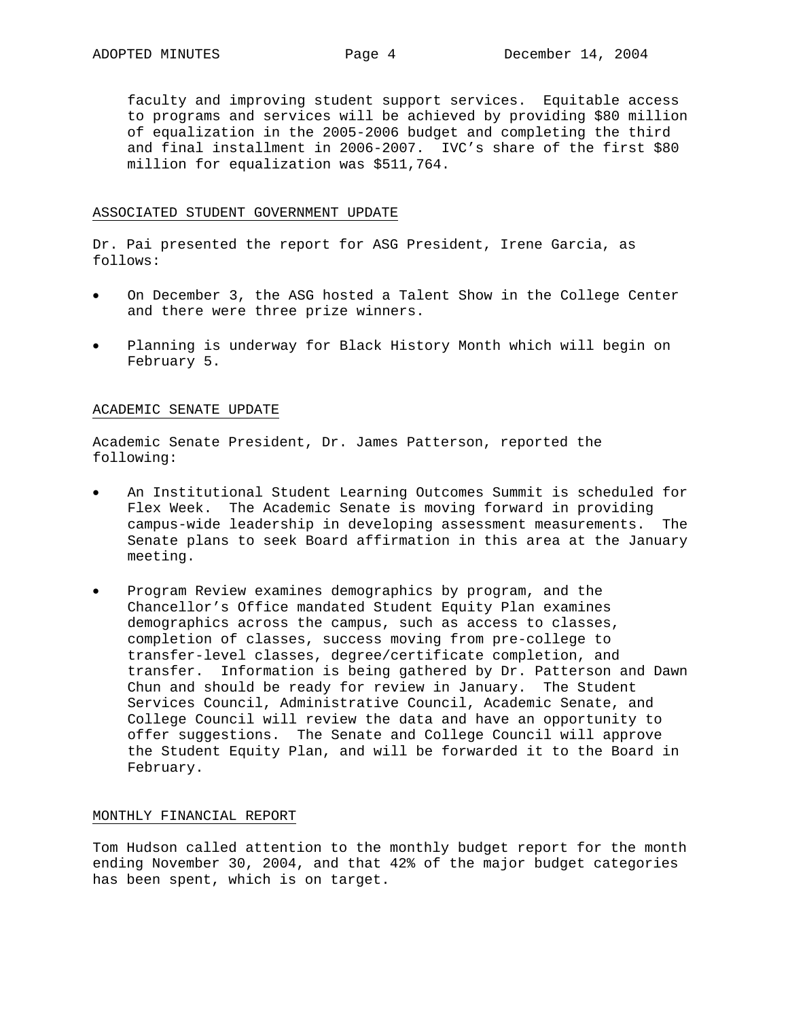faculty and improving student support services. Equitable access to programs and services will be achieved by providing \$80 million of equalization in the 2005-2006 budget and completing the third and final installment in 2006-2007. IVC's share of the first \$80 million for equalization was \$511,764.

# ASSOCIATED STUDENT GOVERNMENT UPDATE

Dr. Pai presented the report for ASG President, Irene Garcia, as follows:

- On December 3, the ASG hosted a Talent Show in the College Center and there were three prize winners.
- Planning is underway for Black History Month which will begin on February 5.

# ACADEMIC SENATE UPDATE

Academic Senate President, Dr. James Patterson, reported the following:

- An Institutional Student Learning Outcomes Summit is scheduled for Flex Week. The Academic Senate is moving forward in providing campus-wide leadership in developing assessment measurements. The Senate plans to seek Board affirmation in this area at the January meeting.
- Program Review examines demographics by program, and the Chancellor's Office mandated Student Equity Plan examines demographics across the campus, such as access to classes, completion of classes, success moving from pre-college to transfer-level classes, degree/certificate completion, and transfer. Information is being gathered by Dr. Patterson and Dawn Chun and should be ready for review in January. The Student Services Council, Administrative Council, Academic Senate, and College Council will review the data and have an opportunity to offer suggestions. The Senate and College Council will approve the Student Equity Plan, and will be forwarded it to the Board in February.

## MONTHLY FINANCIAL REPORT

Tom Hudson called attention to the monthly budget report for the month ending November 30, 2004, and that 42% of the major budget categories has been spent, which is on target.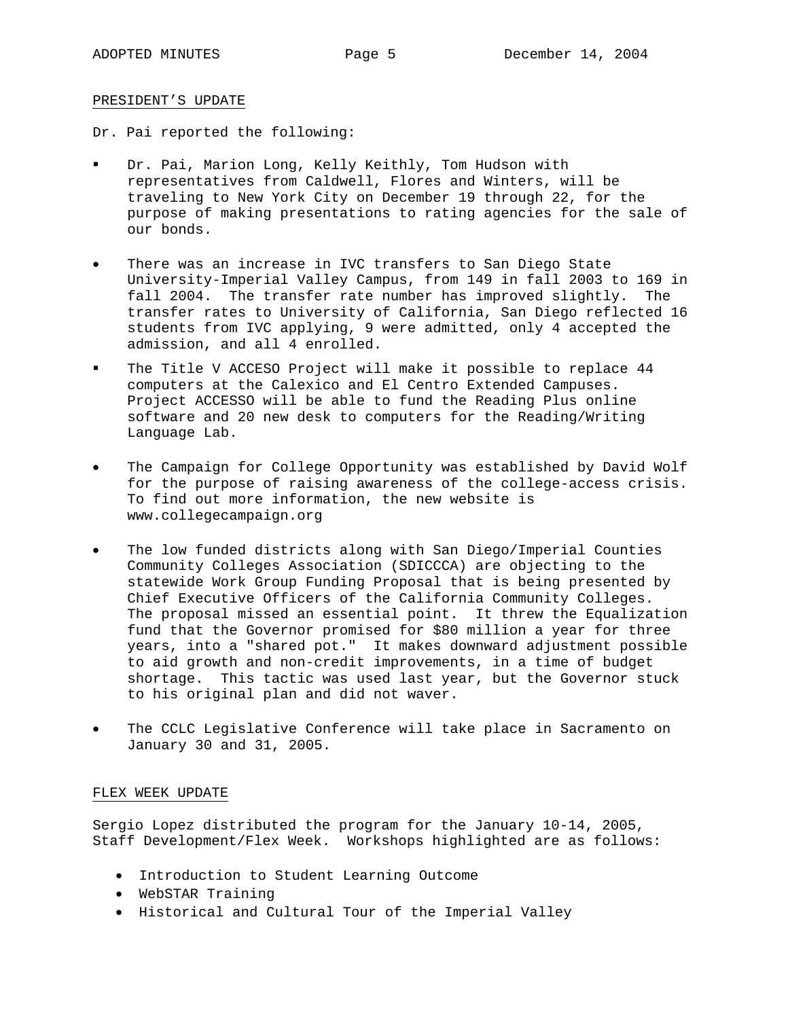# PRESIDENT'S UPDATE

Dr. Pai reported the following:

- Dr. Pai, Marion Long, Kelly Keithly, Tom Hudson with representatives from Caldwell, Flores and Winters, will be traveling to New York City on December 19 through 22, for the purpose of making presentations to rating agencies for the sale of our bonds.
- There was an increase in IVC transfers to San Diego State University-Imperial Valley Campus, from 149 in fall 2003 to 169 in fall 2004. The transfer rate number has improved slightly. The transfer rates to University of California, San Diego reflected 16 students from IVC applying, 9 were admitted, only 4 accepted the admission, and all 4 enrolled.
- The Title V ACCESO Project will make it possible to replace 44 computers at the Calexico and El Centro Extended Campuses. Project ACCESSO will be able to fund the Reading Plus online software and 20 new desk to computers for the Reading/Writing Language Lab.
- The Campaign for College Opportunity was established by David Wolf for the purpose of raising awareness of the college-access crisis. To find out more information, the new website is www.collegecampaign.org
- The low funded districts along with San Diego/Imperial Counties Community Colleges Association (SDICCCA) are objecting to the statewide Work Group Funding Proposal that is being presented by Chief Executive Officers of the California Community Colleges. The proposal missed an essential point. It threw the Equalization fund that the Governor promised for \$80 million a year for three years, into a "shared pot." It makes downward adjustment possible to aid growth and non-credit improvements, in a time of budget shortage. This tactic was used last year, but the Governor stuck to his original plan and did not waver.
- The CCLC Legislative Conference will take place in Sacramento on January 30 and 31, 2005.

# FLEX WEEK UPDATE

Sergio Lopez distributed the program for the January 10-14, 2005, Staff Development/Flex Week. Workshops highlighted are as follows:

- Introduction to Student Learning Outcome
- WebSTAR Training
- Historical and Cultural Tour of the Imperial Valley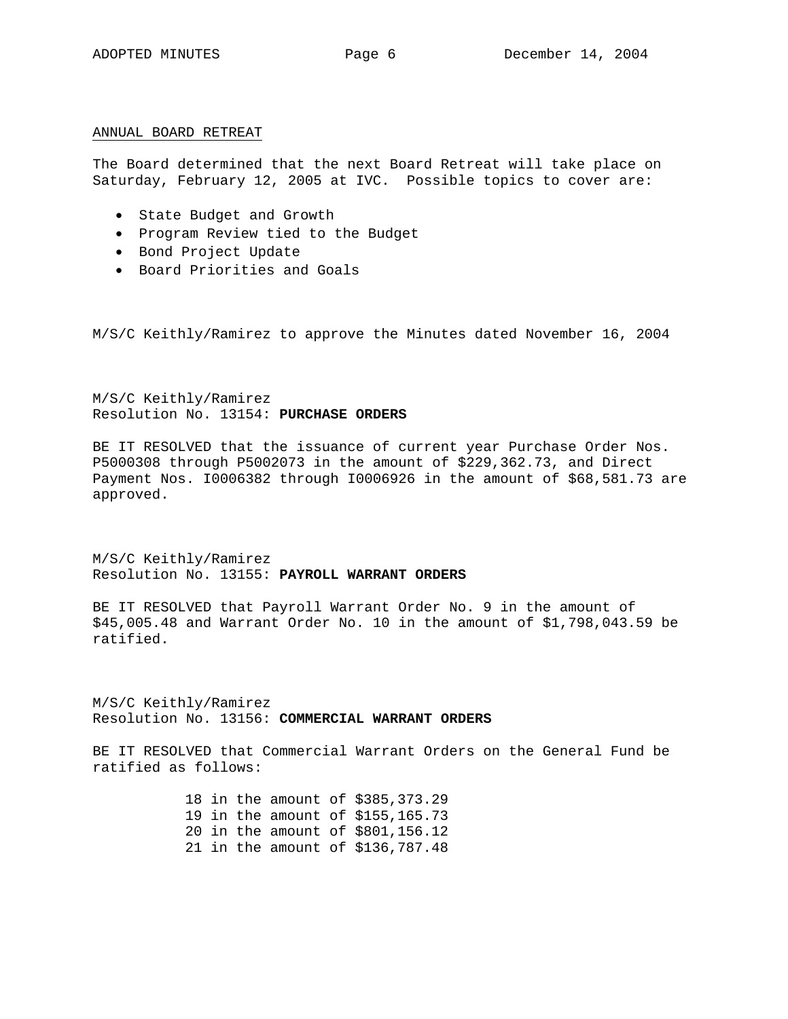# ANNUAL BOARD RETREAT

The Board determined that the next Board Retreat will take place on Saturday, February 12, 2005 at IVC. Possible topics to cover are:

- State Budget and Growth
- Program Review tied to the Budget
- Bond Project Update
- Board Priorities and Goals

M/S/C Keithly/Ramirez to approve the Minutes dated November 16, 2004

M/S/C Keithly/Ramirez Resolution No. 13154: **PURCHASE ORDERS**

BE IT RESOLVED that the issuance of current year Purchase Order Nos. P5000308 through P5002073 in the amount of \$229,362.73, and Direct Payment Nos. I0006382 through I0006926 in the amount of \$68,581.73 are approved.

M/S/C Keithly/Ramirez Resolution No. 13155: **PAYROLL WARRANT ORDERS**

BE IT RESOLVED that Payroll Warrant Order No. 9 in the amount of \$45,005.48 and Warrant Order No. 10 in the amount of \$1,798,043.59 be ratified.

M/S/C Keithly/Ramirez Resolution No. 13156: **COMMERCIAL WARRANT ORDERS**

BE IT RESOLVED that Commercial Warrant Orders on the General Fund be ratified as follows:

> 18 in the amount of \$385,373.29 19 in the amount of \$155,165.73 20 in the amount of \$801,156.12 21 in the amount of \$136,787.48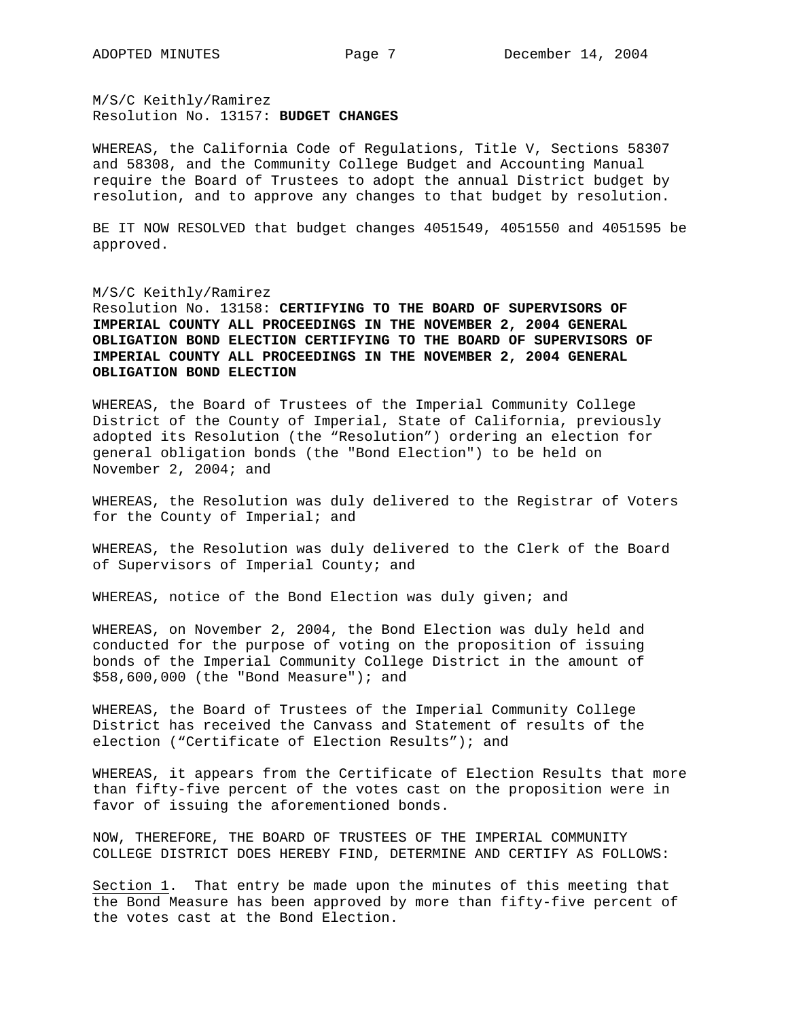M/S/C Keithly/Ramirez Resolution No. 13157: **BUDGET CHANGES** 

WHEREAS, the California Code of Regulations, Title V, Sections 58307 and 58308, and the Community College Budget and Accounting Manual require the Board of Trustees to adopt the annual District budget by resolution, and to approve any changes to that budget by resolution.

BE IT NOW RESOLVED that budget changes 4051549, 4051550 and 4051595 be approved.

## M/S/C Keithly/Ramirez

Resolution No. 13158: **CERTIFYING TO THE BOARD OF SUPERVISORS OF IMPERIAL COUNTY ALL PROCEEDINGS IN THE NOVEMBER 2, 2004 GENERAL OBLIGATION BOND ELECTION CERTIFYING TO THE BOARD OF SUPERVISORS OF IMPERIAL COUNTY ALL PROCEEDINGS IN THE NOVEMBER 2, 2004 GENERAL OBLIGATION BOND ELECTION** 

WHEREAS, the Board of Trustees of the Imperial Community College District of the County of Imperial, State of California, previously adopted its Resolution (the "Resolution") ordering an election for general obligation bonds (the "Bond Election") to be held on November 2, 2004; and

WHEREAS, the Resolution was duly delivered to the Registrar of Voters for the County of Imperial; and

WHEREAS, the Resolution was duly delivered to the Clerk of the Board of Supervisors of Imperial County; and

WHEREAS, notice of the Bond Election was duly given; and

WHEREAS, on November 2, 2004, the Bond Election was duly held and conducted for the purpose of voting on the proposition of issuing bonds of the Imperial Community College District in the amount of \$58,600,000 (the "Bond Measure"); and

WHEREAS, the Board of Trustees of the Imperial Community College District has received the Canvass and Statement of results of the election ("Certificate of Election Results"); and

WHEREAS, it appears from the Certificate of Election Results that more than fifty-five percent of the votes cast on the proposition were in favor of issuing the aforementioned bonds.

NOW, THEREFORE, THE BOARD OF TRUSTEES OF THE IMPERIAL COMMUNITY COLLEGE DISTRICT DOES HEREBY FIND, DETERMINE AND CERTIFY AS FOLLOWS:

Section 1. That entry be made upon the minutes of this meeting that the Bond Measure has been approved by more than fifty-five percent of the votes cast at the Bond Election.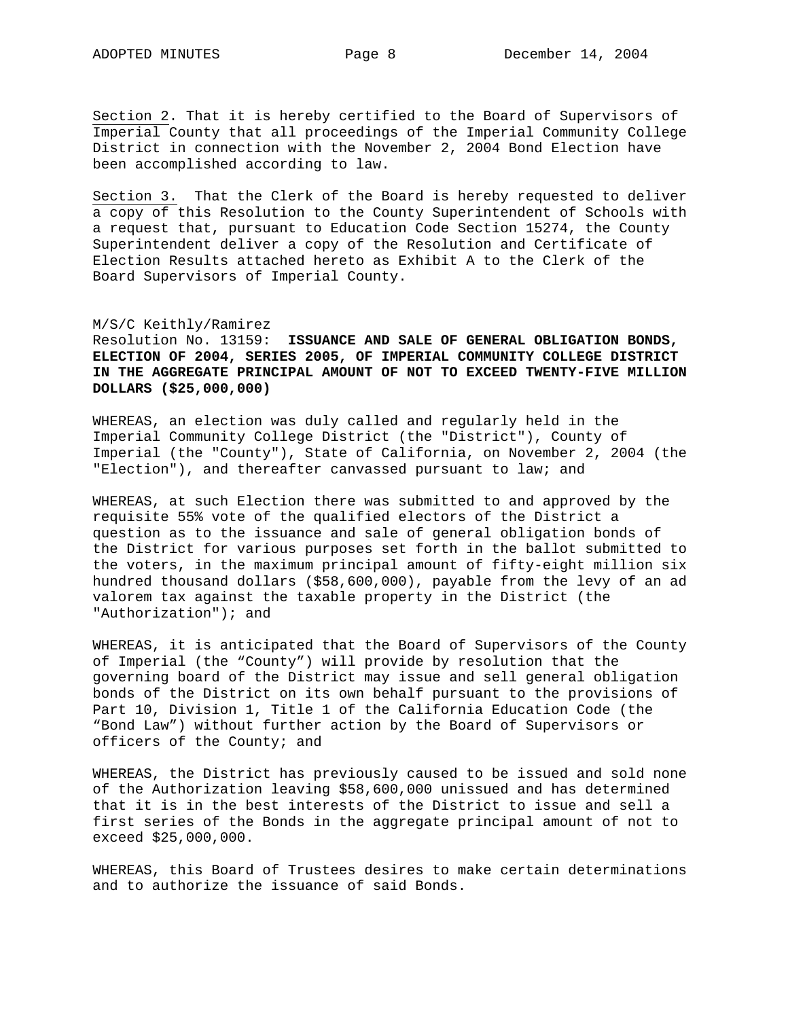Section 2. That it is hereby certified to the Board of Supervisors of Imperial County that all proceedings of the Imperial Community College District in connection with the November 2, 2004 Bond Election have been accomplished according to law.

Section 3. That the Clerk of the Board is hereby requested to deliver a copy of this Resolution to the County Superintendent of Schools with a request that, pursuant to Education Code Section 15274, the County Superintendent deliver a copy of the Resolution and Certificate of Election Results attached hereto as Exhibit A to the Clerk of the Board Supervisors of Imperial County.

# M/S/C Keithly/Ramirez

Resolution No. 13159: **ISSUANCE AND SALE OF GENERAL OBLIGATION BONDS, ELECTION OF 2004, SERIES 2005, OF IMPERIAL COMMUNITY COLLEGE DISTRICT IN THE AGGREGATE PRINCIPAL AMOUNT OF NOT TO EXCEED TWENTY-FIVE MILLION DOLLARS (\$25,000,000)**

WHEREAS, an election was duly called and regularly held in the Imperial Community College District (the "District"), County of Imperial (the "County"), State of California, on November 2, 2004 (the "Election"), and thereafter canvassed pursuant to law; and

WHEREAS, at such Election there was submitted to and approved by the requisite 55% vote of the qualified electors of the District a question as to the issuance and sale of general obligation bonds of the District for various purposes set forth in the ballot submitted to the voters, in the maximum principal amount of fifty-eight million six hundred thousand dollars (\$58,600,000), payable from the levy of an ad valorem tax against the taxable property in the District (the "Authorization"); and

WHEREAS, it is anticipated that the Board of Supervisors of the County of Imperial (the "County") will provide by resolution that the governing board of the District may issue and sell general obligation bonds of the District on its own behalf pursuant to the provisions of Part 10, Division 1, Title 1 of the California Education Code (the "Bond Law") without further action by the Board of Supervisors or officers of the County; and

WHEREAS, the District has previously caused to be issued and sold none of the Authorization leaving \$58,600,000 unissued and has determined that it is in the best interests of the District to issue and sell a first series of the Bonds in the aggregate principal amount of not to exceed \$25,000,000.

WHEREAS, this Board of Trustees desires to make certain determinations and to authorize the issuance of said Bonds.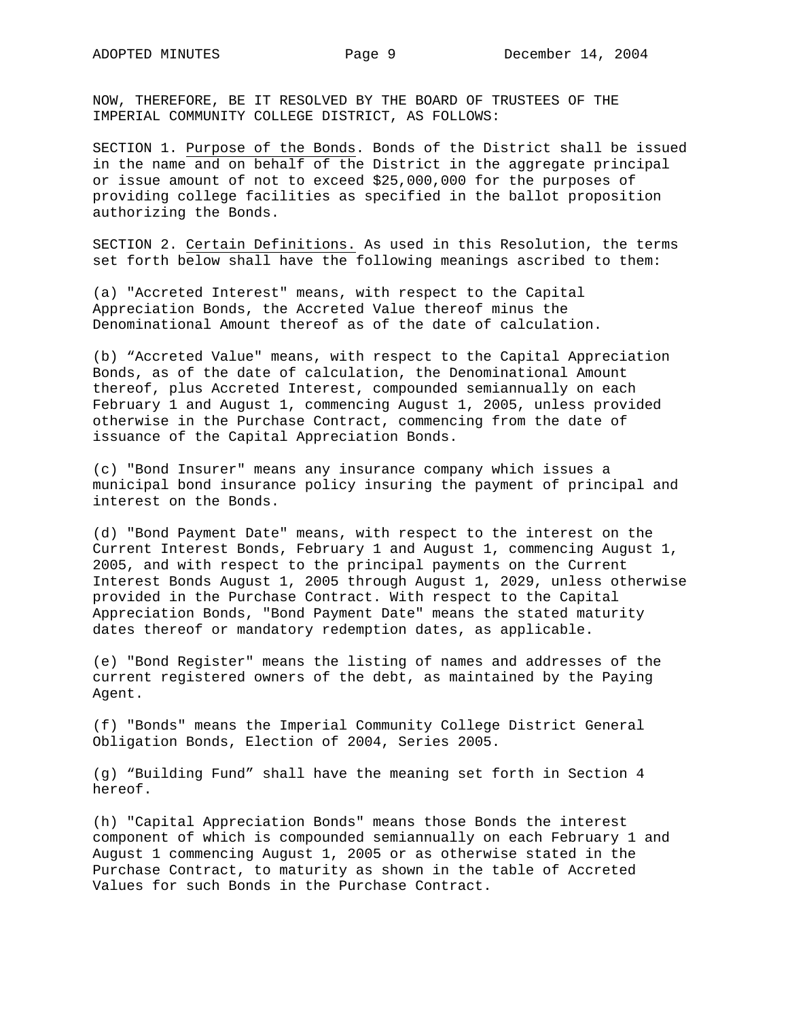NOW, THEREFORE, BE IT RESOLVED BY THE BOARD OF TRUSTEES OF THE IMPERIAL COMMUNITY COLLEGE DISTRICT, AS FOLLOWS:

SECTION 1. Purpose of the Bonds. Bonds of the District shall be issued in the name and on behalf of the District in the aggregate principal or issue amount of not to exceed \$25,000,000 for the purposes of providing college facilities as specified in the ballot proposition authorizing the Bonds.

SECTION 2. Certain Definitions. As used in this Resolution, the terms set forth below shall have the following meanings ascribed to them:

(a) "Accreted Interest" means, with respect to the Capital Appreciation Bonds, the Accreted Value thereof minus the Denominational Amount thereof as of the date of calculation.

(b) "Accreted Value" means, with respect to the Capital Appreciation Bonds, as of the date of calculation, the Denominational Amount thereof, plus Accreted Interest, compounded semiannually on each February 1 and August 1, commencing August 1, 2005, unless provided otherwise in the Purchase Contract, commencing from the date of issuance of the Capital Appreciation Bonds.

(c) "Bond Insurer" means any insurance company which issues a municipal bond insurance policy insuring the payment of principal and interest on the Bonds.

(d) "Bond Payment Date" means, with respect to the interest on the Current Interest Bonds, February 1 and August 1, commencing August 1, 2005, and with respect to the principal payments on the Current Interest Bonds August 1, 2005 through August 1, 2029, unless otherwise provided in the Purchase Contract. With respect to the Capital Appreciation Bonds, "Bond Payment Date" means the stated maturity dates thereof or mandatory redemption dates, as applicable.

(e) "Bond Register" means the listing of names and addresses of the current registered owners of the debt, as maintained by the Paying Agent.

(f) "Bonds" means the Imperial Community College District General Obligation Bonds, Election of 2004, Series 2005.

(g) "Building Fund" shall have the meaning set forth in Section 4 hereof.

(h) "Capital Appreciation Bonds" means those Bonds the interest component of which is compounded semiannually on each February 1 and August 1 commencing August 1, 2005 or as otherwise stated in the Purchase Contract, to maturity as shown in the table of Accreted Values for such Bonds in the Purchase Contract.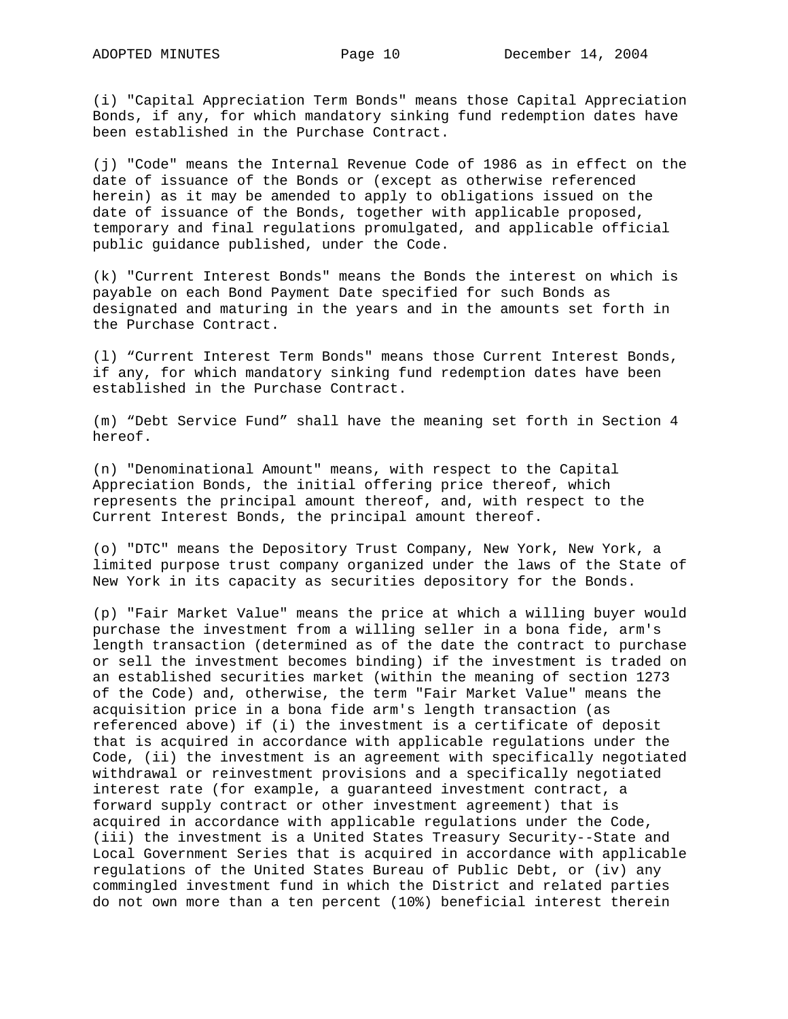(i) "Capital Appreciation Term Bonds" means those Capital Appreciation Bonds, if any, for which mandatory sinking fund redemption dates have been established in the Purchase Contract.

(j) "Code" means the Internal Revenue Code of 1986 as in effect on the date of issuance of the Bonds or (except as otherwise referenced herein) as it may be amended to apply to obligations issued on the date of issuance of the Bonds, together with applicable proposed, temporary and final regulations promulgated, and applicable official public guidance published, under the Code.

(k) "Current Interest Bonds" means the Bonds the interest on which is payable on each Bond Payment Date specified for such Bonds as designated and maturing in the years and in the amounts set forth in the Purchase Contract.

(l) "Current Interest Term Bonds" means those Current Interest Bonds, if any, for which mandatory sinking fund redemption dates have been established in the Purchase Contract.

(m) "Debt Service Fund" shall have the meaning set forth in Section 4 hereof.

(n) "Denominational Amount" means, with respect to the Capital Appreciation Bonds, the initial offering price thereof, which represents the principal amount thereof, and, with respect to the Current Interest Bonds, the principal amount thereof.

(o) "DTC" means the Depository Trust Company, New York, New York, a limited purpose trust company organized under the laws of the State of New York in its capacity as securities depository for the Bonds.

(p) "Fair Market Value" means the price at which a willing buyer would purchase the investment from a willing seller in a bona fide, arm's length transaction (determined as of the date the contract to purchase or sell the investment becomes binding) if the investment is traded on an established securities market (within the meaning of section 1273 of the Code) and, otherwise, the term "Fair Market Value" means the acquisition price in a bona fide arm's length transaction (as referenced above) if (i) the investment is a certificate of deposit that is acquired in accordance with applicable regulations under the Code, (ii) the investment is an agreement with specifically negotiated withdrawal or reinvestment provisions and a specifically negotiated interest rate (for example, a guaranteed investment contract, a forward supply contract or other investment agreement) that is acquired in accordance with applicable regulations under the Code, (iii) the investment is a United States Treasury Security--State and Local Government Series that is acquired in accordance with applicable regulations of the United States Bureau of Public Debt, or (iv) any commingled investment fund in which the District and related parties do not own more than a ten percent (10%) beneficial interest therein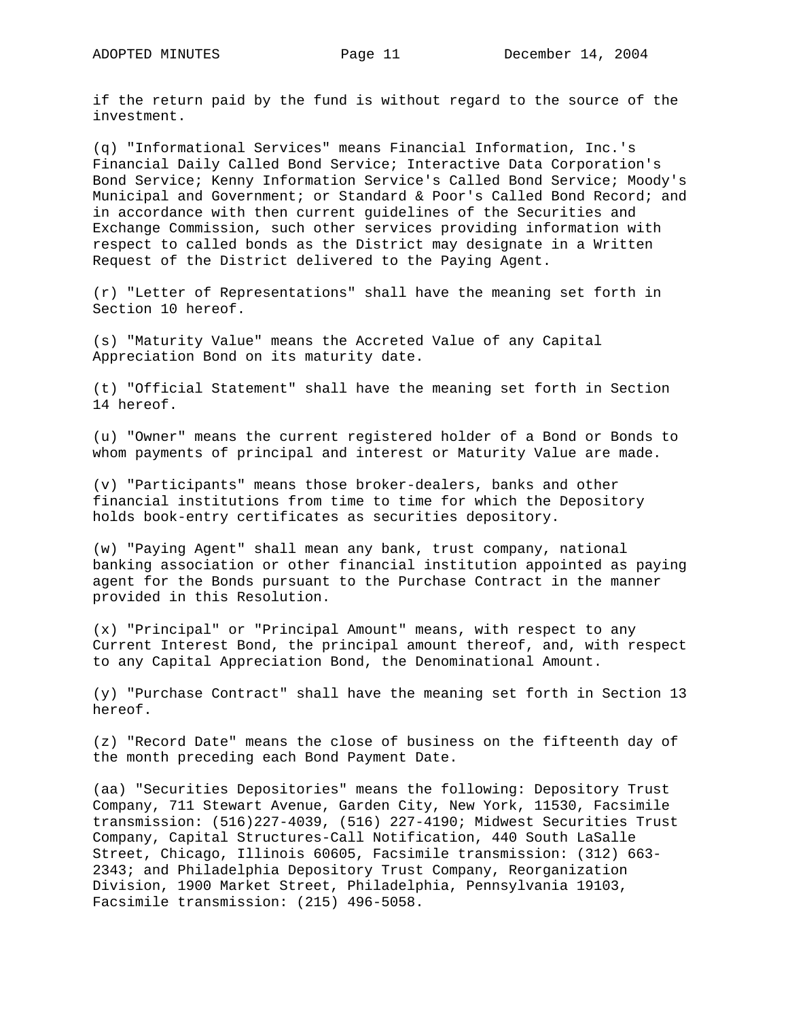if the return paid by the fund is without regard to the source of the investment.

(q) "Informational Services" means Financial Information, Inc.'s Financial Daily Called Bond Service; Interactive Data Corporation's Bond Service; Kenny Information Service's Called Bond Service; Moody's Municipal and Government; or Standard & Poor's Called Bond Record; and in accordance with then current guidelines of the Securities and Exchange Commission, such other services providing information with respect to called bonds as the District may designate in a Written Request of the District delivered to the Paying Agent.

(r) "Letter of Representations" shall have the meaning set forth in Section 10 hereof.

(s) "Maturity Value" means the Accreted Value of any Capital Appreciation Bond on its maturity date.

(t) "Official Statement" shall have the meaning set forth in Section 14 hereof.

(u) "Owner" means the current registered holder of a Bond or Bonds to whom payments of principal and interest or Maturity Value are made.

(v) "Participants" means those broker-dealers, banks and other financial institutions from time to time for which the Depository holds book-entry certificates as securities depository.

(w) "Paying Agent" shall mean any bank, trust company, national banking association or other financial institution appointed as paying agent for the Bonds pursuant to the Purchase Contract in the manner provided in this Resolution.

(x) "Principal" or "Principal Amount" means, with respect to any Current Interest Bond, the principal amount thereof, and, with respect to any Capital Appreciation Bond, the Denominational Amount.

(y) "Purchase Contract" shall have the meaning set forth in Section 13 hereof.

(z) "Record Date" means the close of business on the fifteenth day of the month preceding each Bond Payment Date.

(aa) "Securities Depositories" means the following: Depository Trust Company, 711 Stewart Avenue, Garden City, New York, 11530, Facsimile transmission: (516)227-4039, (516) 227-4190; Midwest Securities Trust Company, Capital Structures-Call Notification, 440 South LaSalle Street, Chicago, Illinois 60605, Facsimile transmission: (312) 663- 2343; and Philadelphia Depository Trust Company, Reorganization Division, 1900 Market Street, Philadelphia, Pennsylvania 19103, Facsimile transmission: (215) 496-5058.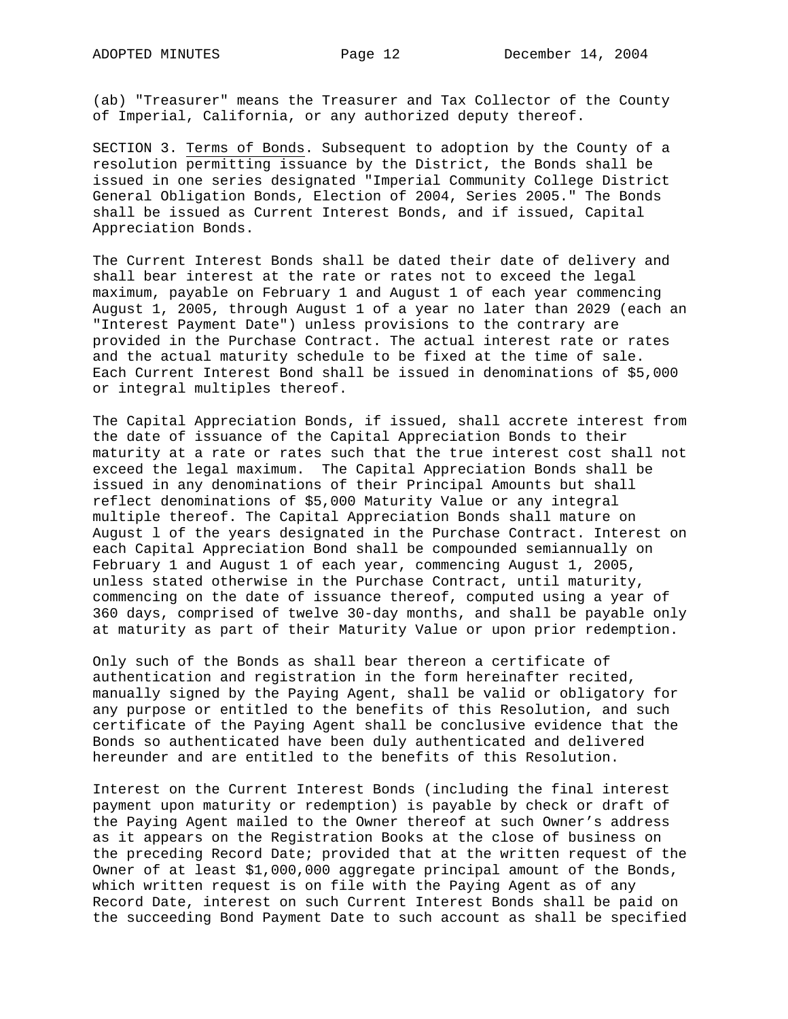(ab) "Treasurer" means the Treasurer and Tax Collector of the County of Imperial, California, or any authorized deputy thereof.

SECTION 3. Terms of Bonds. Subsequent to adoption by the County of a resolution permitting issuance by the District, the Bonds shall be issued in one series designated "Imperial Community College District General Obligation Bonds, Election of 2004, Series 2005." The Bonds shall be issued as Current Interest Bonds, and if issued, Capital Appreciation Bonds.

The Current Interest Bonds shall be dated their date of delivery and shall bear interest at the rate or rates not to exceed the legal maximum, payable on February 1 and August 1 of each year commencing August 1, 2005, through August 1 of a year no later than 2029 (each an "Interest Payment Date") unless provisions to the contrary are provided in the Purchase Contract. The actual interest rate or rates and the actual maturity schedule to be fixed at the time of sale. Each Current Interest Bond shall be issued in denominations of \$5,000 or integral multiples thereof.

The Capital Appreciation Bonds, if issued, shall accrete interest from the date of issuance of the Capital Appreciation Bonds to their maturity at a rate or rates such that the true interest cost shall not exceed the legal maximum. The Capital Appreciation Bonds shall be issued in any denominations of their Principal Amounts but shall reflect denominations of \$5,000 Maturity Value or any integral multiple thereof. The Capital Appreciation Bonds shall mature on August l of the years designated in the Purchase Contract. Interest on each Capital Appreciation Bond shall be compounded semiannually on February 1 and August 1 of each year, commencing August 1, 2005, unless stated otherwise in the Purchase Contract, until maturity, commencing on the date of issuance thereof, computed using a year of 360 days, comprised of twelve 30-day months, and shall be payable only at maturity as part of their Maturity Value or upon prior redemption.

Only such of the Bonds as shall bear thereon a certificate of authentication and registration in the form hereinafter recited, manually signed by the Paying Agent, shall be valid or obligatory for any purpose or entitled to the benefits of this Resolution, and such certificate of the Paying Agent shall be conclusive evidence that the Bonds so authenticated have been duly authenticated and delivered hereunder and are entitled to the benefits of this Resolution.

Interest on the Current Interest Bonds (including the final interest payment upon maturity or redemption) is payable by check or draft of the Paying Agent mailed to the Owner thereof at such Owner's address as it appears on the Registration Books at the close of business on the preceding Record Date; provided that at the written request of the Owner of at least \$1,000,000 aggregate principal amount of the Bonds, which written request is on file with the Paying Agent as of any Record Date, interest on such Current Interest Bonds shall be paid on the succeeding Bond Payment Date to such account as shall be specified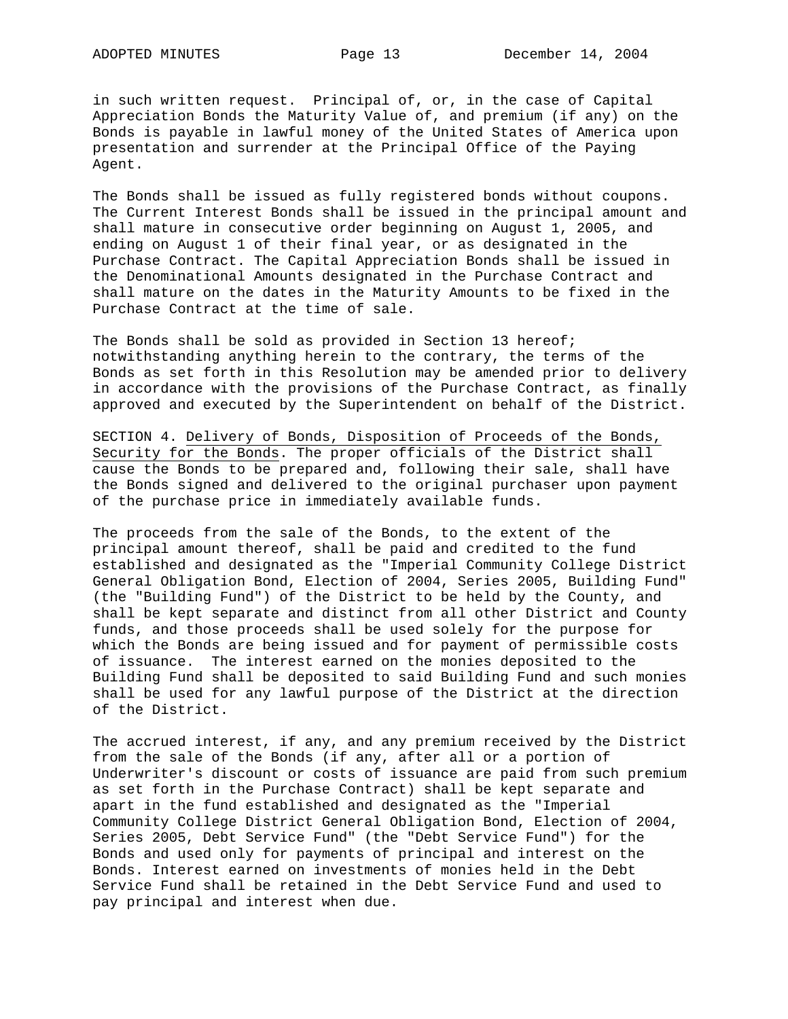in such written request. Principal of, or, in the case of Capital Appreciation Bonds the Maturity Value of, and premium (if any) on the Bonds is payable in lawful money of the United States of America upon presentation and surrender at the Principal Office of the Paying Agent.

The Bonds shall be issued as fully registered bonds without coupons. The Current Interest Bonds shall be issued in the principal amount and shall mature in consecutive order beginning on August 1, 2005, and ending on August 1 of their final year, or as designated in the Purchase Contract. The Capital Appreciation Bonds shall be issued in the Denominational Amounts designated in the Purchase Contract and shall mature on the dates in the Maturity Amounts to be fixed in the Purchase Contract at the time of sale.

The Bonds shall be sold as provided in Section 13 hereof; notwithstanding anything herein to the contrary, the terms of the Bonds as set forth in this Resolution may be amended prior to delivery in accordance with the provisions of the Purchase Contract, as finally approved and executed by the Superintendent on behalf of the District.

SECTION 4. Delivery of Bonds, Disposition of Proceeds of the Bonds, Security for the Bonds. The proper officials of the District shall cause the Bonds to be prepared and, following their sale, shall have the Bonds signed and delivered to the original purchaser upon payment of the purchase price in immediately available funds.

The proceeds from the sale of the Bonds, to the extent of the principal amount thereof, shall be paid and credited to the fund established and designated as the "Imperial Community College District General Obligation Bond, Election of 2004, Series 2005, Building Fund" (the "Building Fund") of the District to be held by the County, and shall be kept separate and distinct from all other District and County funds, and those proceeds shall be used solely for the purpose for which the Bonds are being issued and for payment of permissible costs of issuance. The interest earned on the monies deposited to the Building Fund shall be deposited to said Building Fund and such monies shall be used for any lawful purpose of the District at the direction of the District.

The accrued interest, if any, and any premium received by the District from the sale of the Bonds (if any, after all or a portion of Underwriter's discount or costs of issuance are paid from such premium as set forth in the Purchase Contract) shall be kept separate and apart in the fund established and designated as the "Imperial Community College District General Obligation Bond, Election of 2004, Series 2005, Debt Service Fund" (the "Debt Service Fund") for the Bonds and used only for payments of principal and interest on the Bonds. Interest earned on investments of monies held in the Debt Service Fund shall be retained in the Debt Service Fund and used to pay principal and interest when due.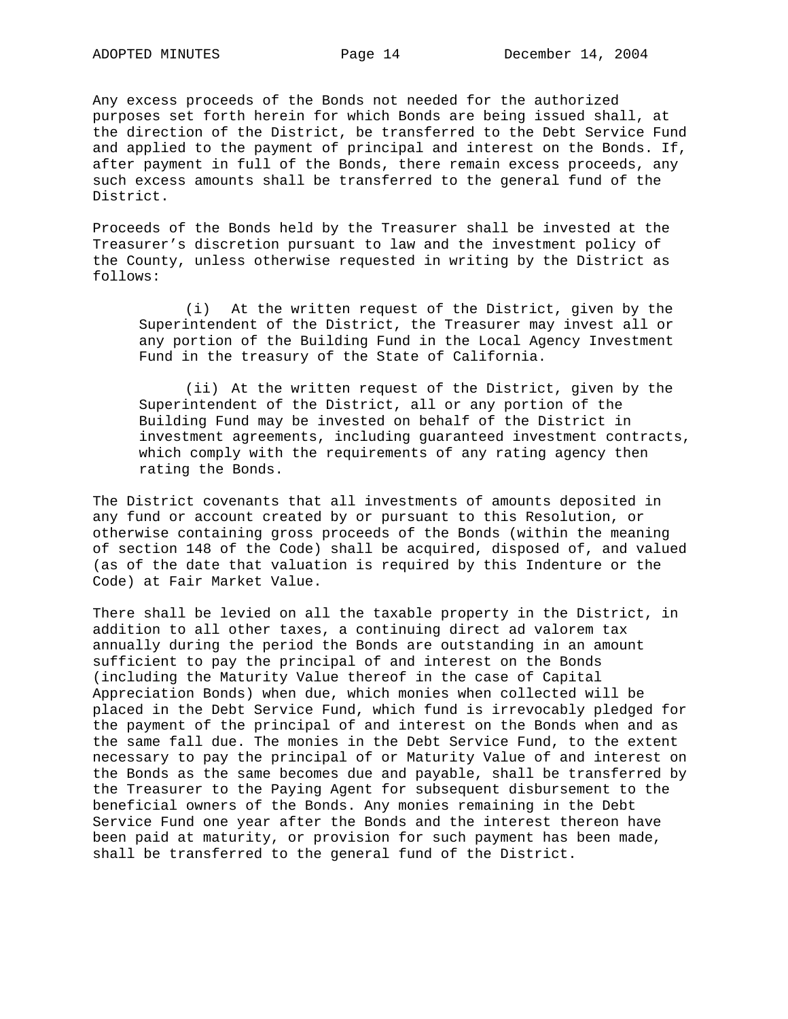Any excess proceeds of the Bonds not needed for the authorized purposes set forth herein for which Bonds are being issued shall, at the direction of the District, be transferred to the Debt Service Fund and applied to the payment of principal and interest on the Bonds. If, after payment in full of the Bonds, there remain excess proceeds, any such excess amounts shall be transferred to the general fund of the District.

Proceeds of the Bonds held by the Treasurer shall be invested at the Treasurer's discretion pursuant to law and the investment policy of the County, unless otherwise requested in writing by the District as follows:

 (i) At the written request of the District, given by the Superintendent of the District, the Treasurer may invest all or any portion of the Building Fund in the Local Agency Investment Fund in the treasury of the State of California.

 (ii) At the written request of the District, given by the Superintendent of the District, all or any portion of the Building Fund may be invested on behalf of the District in investment agreements, including guaranteed investment contracts, which comply with the requirements of any rating agency then rating the Bonds.

The District covenants that all investments of amounts deposited in any fund or account created by or pursuant to this Resolution, or otherwise containing gross proceeds of the Bonds (within the meaning of section 148 of the Code) shall be acquired, disposed of, and valued (as of the date that valuation is required by this Indenture or the Code) at Fair Market Value.

There shall be levied on all the taxable property in the District, in addition to all other taxes, a continuing direct ad valorem tax annually during the period the Bonds are outstanding in an amount sufficient to pay the principal of and interest on the Bonds (including the Maturity Value thereof in the case of Capital Appreciation Bonds) when due, which monies when collected will be placed in the Debt Service Fund, which fund is irrevocably pledged for the payment of the principal of and interest on the Bonds when and as the same fall due. The monies in the Debt Service Fund, to the extent necessary to pay the principal of or Maturity Value of and interest on the Bonds as the same becomes due and payable, shall be transferred by the Treasurer to the Paying Agent for subsequent disbursement to the beneficial owners of the Bonds. Any monies remaining in the Debt Service Fund one year after the Bonds and the interest thereon have been paid at maturity, or provision for such payment has been made, shall be transferred to the general fund of the District.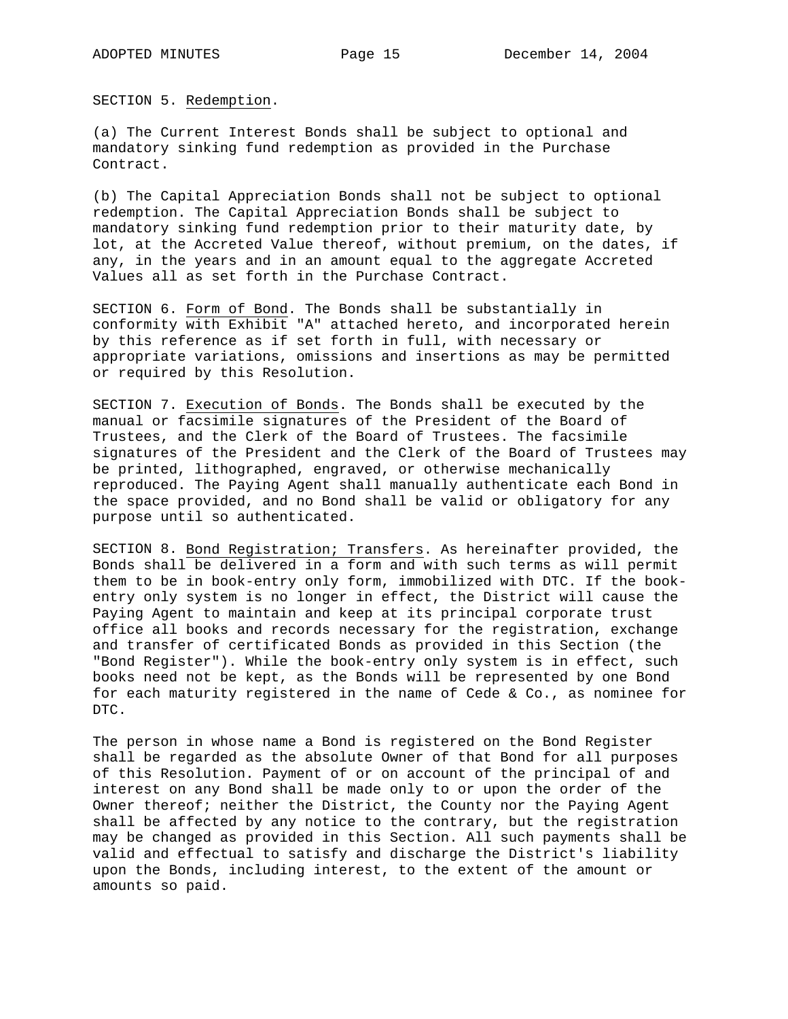SECTION 5. Redemption.

(a) The Current Interest Bonds shall be subject to optional and mandatory sinking fund redemption as provided in the Purchase Contract.

(b) The Capital Appreciation Bonds shall not be subject to optional redemption. The Capital Appreciation Bonds shall be subject to mandatory sinking fund redemption prior to their maturity date, by lot, at the Accreted Value thereof, without premium, on the dates, if any, in the years and in an amount equal to the aggregate Accreted Values all as set forth in the Purchase Contract.

SECTION 6. Form of Bond. The Bonds shall be substantially in conformity with Exhibit "A" attached hereto, and incorporated herein by this reference as if set forth in full, with necessary or appropriate variations, omissions and insertions as may be permitted or required by this Resolution.

SECTION 7. Execution of Bonds. The Bonds shall be executed by the manual or facsimile signatures of the President of the Board of Trustees, and the Clerk of the Board of Trustees. The facsimile signatures of the President and the Clerk of the Board of Trustees may be printed, lithographed, engraved, or otherwise mechanically reproduced. The Paying Agent shall manually authenticate each Bond in the space provided, and no Bond shall be valid or obligatory for any purpose until so authenticated.

SECTION 8. Bond Registration; Transfers. As hereinafter provided, the Bonds shall be delivered in a form and with such terms as will permit them to be in book-entry only form, immobilized with DTC. If the bookentry only system is no longer in effect, the District will cause the Paying Agent to maintain and keep at its principal corporate trust office all books and records necessary for the registration, exchange and transfer of certificated Bonds as provided in this Section (the "Bond Register"). While the book-entry only system is in effect, such books need not be kept, as the Bonds will be represented by one Bond for each maturity registered in the name of Cede & Co., as nominee for DTC.

The person in whose name a Bond is registered on the Bond Register shall be regarded as the absolute Owner of that Bond for all purposes of this Resolution. Payment of or on account of the principal of and interest on any Bond shall be made only to or upon the order of the Owner thereof; neither the District, the County nor the Paying Agent shall be affected by any notice to the contrary, but the registration may be changed as provided in this Section. All such payments shall be valid and effectual to satisfy and discharge the District's liability upon the Bonds, including interest, to the extent of the amount or amounts so paid.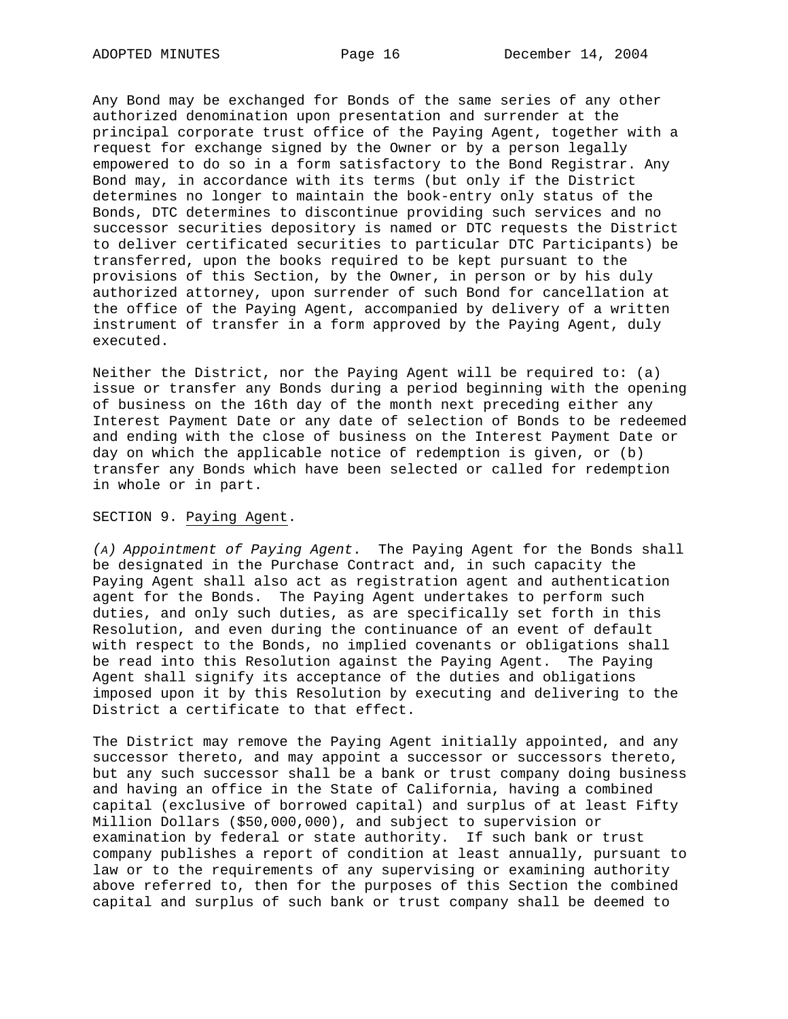Any Bond may be exchanged for Bonds of the same series of any other authorized denomination upon presentation and surrender at the principal corporate trust office of the Paying Agent, together with a request for exchange signed by the Owner or by a person legally empowered to do so in a form satisfactory to the Bond Registrar. Any Bond may, in accordance with its terms (but only if the District determines no longer to maintain the book-entry only status of the Bonds, DTC determines to discontinue providing such services and no successor securities depository is named or DTC requests the District to deliver certificated securities to particular DTC Participants) be transferred, upon the books required to be kept pursuant to the provisions of this Section, by the Owner, in person or by his duly authorized attorney, upon surrender of such Bond for cancellation at the office of the Paying Agent, accompanied by delivery of a written instrument of transfer in a form approved by the Paying Agent, duly executed.

Neither the District, nor the Paying Agent will be required to: (a) issue or transfer any Bonds during a period beginning with the opening of business on the 16th day of the month next preceding either any Interest Payment Date or any date of selection of Bonds to be redeemed and ending with the close of business on the Interest Payment Date or day on which the applicable notice of redemption is given, or (b) transfer any Bonds which have been selected or called for redemption in whole or in part.

## SECTION 9. Paying Agent.

*(A) Appointment of Paying Agent*. The Paying Agent for the Bonds shall be designated in the Purchase Contract and, in such capacity the Paying Agent shall also act as registration agent and authentication agent for the Bonds. The Paying Agent undertakes to perform such duties, and only such duties, as are specifically set forth in this Resolution, and even during the continuance of an event of default with respect to the Bonds, no implied covenants or obligations shall be read into this Resolution against the Paying Agent. The Paying Agent shall signify its acceptance of the duties and obligations imposed upon it by this Resolution by executing and delivering to the District a certificate to that effect.

The District may remove the Paying Agent initially appointed, and any successor thereto, and may appoint a successor or successors thereto, but any such successor shall be a bank or trust company doing business and having an office in the State of California, having a combined capital (exclusive of borrowed capital) and surplus of at least Fifty Million Dollars (\$50,000,000), and subject to supervision or examination by federal or state authority. If such bank or trust company publishes a report of condition at least annually, pursuant to law or to the requirements of any supervising or examining authority above referred to, then for the purposes of this Section the combined capital and surplus of such bank or trust company shall be deemed to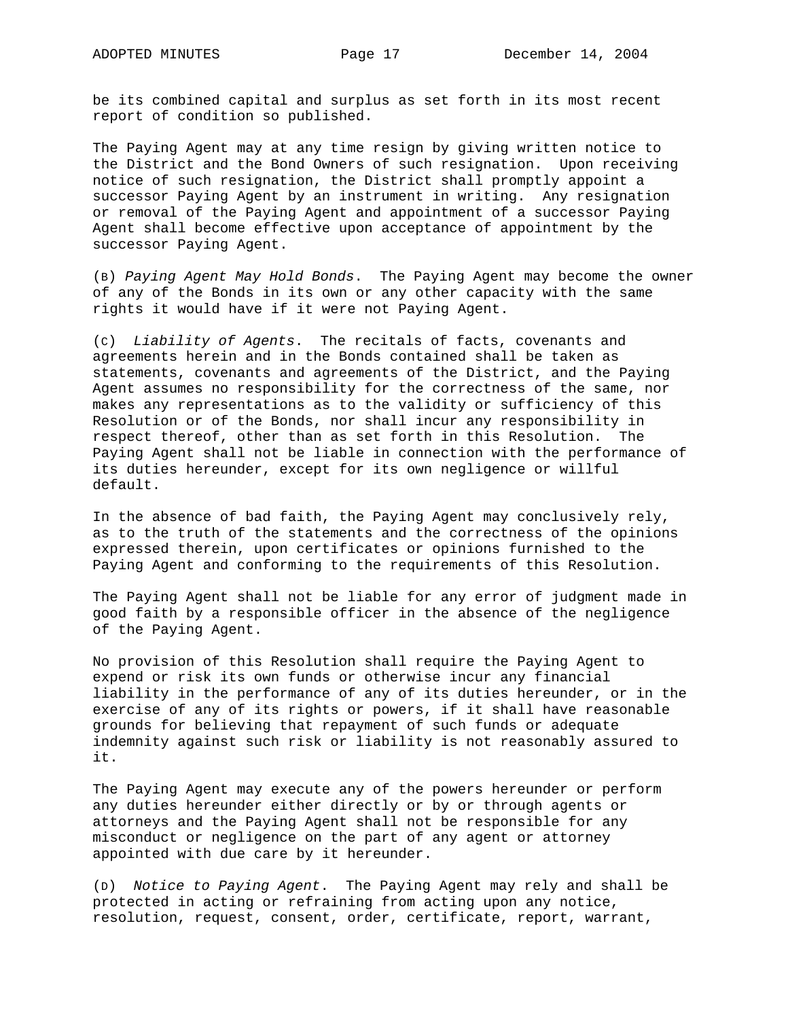be its combined capital and surplus as set forth in its most recent report of condition so published.

The Paying Agent may at any time resign by giving written notice to the District and the Bond Owners of such resignation. Upon receiving notice of such resignation, the District shall promptly appoint a successor Paying Agent by an instrument in writing. Any resignation or removal of the Paying Agent and appointment of a successor Paying Agent shall become effective upon acceptance of appointment by the successor Paying Agent.

(B) *Paying Agent May Hold Bonds*. The Paying Agent may become the owner of any of the Bonds in its own or any other capacity with the same rights it would have if it were not Paying Agent.

(C) *Liability of Agents*. The recitals of facts, covenants and agreements herein and in the Bonds contained shall be taken as statements, covenants and agreements of the District, and the Paying Agent assumes no responsibility for the correctness of the same, nor makes any representations as to the validity or sufficiency of this Resolution or of the Bonds, nor shall incur any responsibility in respect thereof, other than as set forth in this Resolution. The Paying Agent shall not be liable in connection with the performance of its duties hereunder, except for its own negligence or willful default.

In the absence of bad faith, the Paying Agent may conclusively rely, as to the truth of the statements and the correctness of the opinions expressed therein, upon certificates or opinions furnished to the Paying Agent and conforming to the requirements of this Resolution.

The Paying Agent shall not be liable for any error of judgment made in good faith by a responsible officer in the absence of the negligence of the Paying Agent.

No provision of this Resolution shall require the Paying Agent to expend or risk its own funds or otherwise incur any financial liability in the performance of any of its duties hereunder, or in the exercise of any of its rights or powers, if it shall have reasonable grounds for believing that repayment of such funds or adequate indemnity against such risk or liability is not reasonably assured to it.

The Paying Agent may execute any of the powers hereunder or perform any duties hereunder either directly or by or through agents or attorneys and the Paying Agent shall not be responsible for any misconduct or negligence on the part of any agent or attorney appointed with due care by it hereunder.

(D) *Notice to Paying Agent*. The Paying Agent may rely and shall be protected in acting or refraining from acting upon any notice, resolution, request, consent, order, certificate, report, warrant,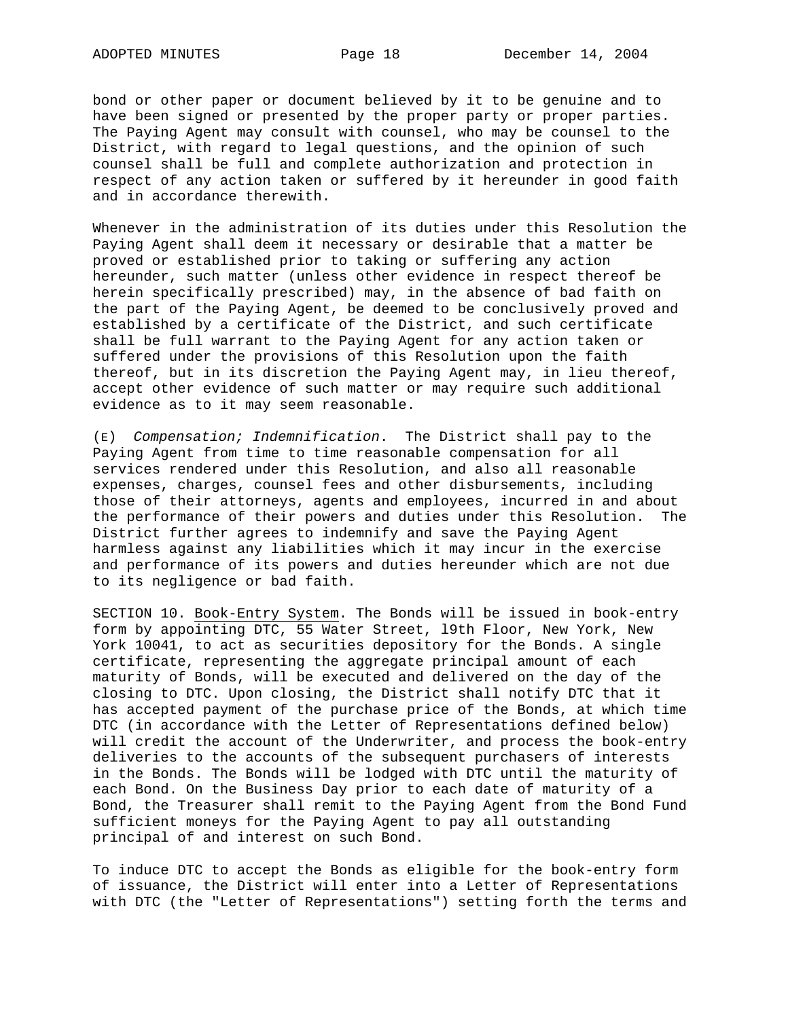bond or other paper or document believed by it to be genuine and to have been signed or presented by the proper party or proper parties. The Paying Agent may consult with counsel, who may be counsel to the District, with regard to legal questions, and the opinion of such counsel shall be full and complete authorization and protection in respect of any action taken or suffered by it hereunder in good faith and in accordance therewith.

Whenever in the administration of its duties under this Resolution the Paying Agent shall deem it necessary or desirable that a matter be proved or established prior to taking or suffering any action hereunder, such matter (unless other evidence in respect thereof be herein specifically prescribed) may, in the absence of bad faith on the part of the Paying Agent, be deemed to be conclusively proved and established by a certificate of the District, and such certificate shall be full warrant to the Paying Agent for any action taken or suffered under the provisions of this Resolution upon the faith thereof, but in its discretion the Paying Agent may, in lieu thereof, accept other evidence of such matter or may require such additional evidence as to it may seem reasonable.

(E) *Compensation; Indemnification*. The District shall pay to the Paying Agent from time to time reasonable compensation for all services rendered under this Resolution, and also all reasonable expenses, charges, counsel fees and other disbursements, including those of their attorneys, agents and employees, incurred in and about the performance of their powers and duties under this Resolution. The District further agrees to indemnify and save the Paying Agent harmless against any liabilities which it may incur in the exercise and performance of its powers and duties hereunder which are not due to its negligence or bad faith.

SECTION 10. Book-Entry System. The Bonds will be issued in book-entry form by appointing DTC, 55 Water Street, l9th Floor, New York, New York 10041, to act as securities depository for the Bonds. A single certificate, representing the aggregate principal amount of each maturity of Bonds, will be executed and delivered on the day of the closing to DTC. Upon closing, the District shall notify DTC that it has accepted payment of the purchase price of the Bonds, at which time DTC (in accordance with the Letter of Representations defined below) will credit the account of the Underwriter, and process the book-entry deliveries to the accounts of the subsequent purchasers of interests in the Bonds. The Bonds will be lodged with DTC until the maturity of each Bond. On the Business Day prior to each date of maturity of a Bond, the Treasurer shall remit to the Paying Agent from the Bond Fund sufficient moneys for the Paying Agent to pay all outstanding principal of and interest on such Bond.

To induce DTC to accept the Bonds as eligible for the book-entry form of issuance, the District will enter into a Letter of Representations with DTC (the "Letter of Representations") setting forth the terms and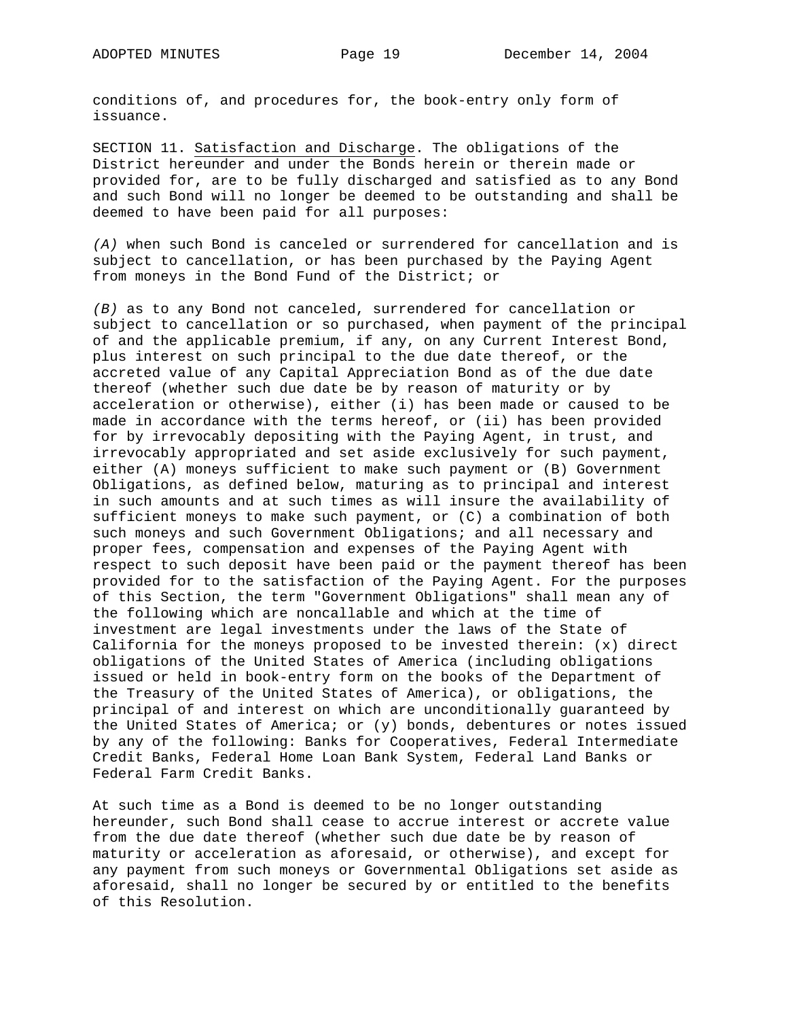conditions of, and procedures for, the book-entry only form of issuance.

SECTION 11. Satisfaction and Discharge. The obligations of the District hereunder and under the Bonds herein or therein made or provided for, are to be fully discharged and satisfied as to any Bond and such Bond will no longer be deemed to be outstanding and shall be deemed to have been paid for all purposes:

*(A)* when such Bond is canceled or surrendered for cancellation and is subject to cancellation, or has been purchased by the Paying Agent from moneys in the Bond Fund of the District; or

*(B)* as to any Bond not canceled, surrendered for cancellation or subject to cancellation or so purchased, when payment of the principal of and the applicable premium, if any, on any Current Interest Bond, plus interest on such principal to the due date thereof, or the accreted value of any Capital Appreciation Bond as of the due date thereof (whether such due date be by reason of maturity or by acceleration or otherwise), either (i) has been made or caused to be made in accordance with the terms hereof, or (ii) has been provided for by irrevocably depositing with the Paying Agent, in trust, and irrevocably appropriated and set aside exclusively for such payment, either (A) moneys sufficient to make such payment or (B) Government Obligations, as defined below, maturing as to principal and interest in such amounts and at such times as will insure the availability of sufficient moneys to make such payment, or (C) a combination of both such moneys and such Government Obligations; and all necessary and proper fees, compensation and expenses of the Paying Agent with respect to such deposit have been paid or the payment thereof has been provided for to the satisfaction of the Paying Agent. For the purposes of this Section, the term "Government Obligations" shall mean any of the following which are noncallable and which at the time of investment are legal investments under the laws of the State of California for the moneys proposed to be invested therein: (x) direct obligations of the United States of America (including obligations issued or held in book-entry form on the books of the Department of the Treasury of the United States of America), or obligations, the principal of and interest on which are unconditionally guaranteed by the United States of America; or (y) bonds, debentures or notes issued by any of the following: Banks for Cooperatives, Federal Intermediate Credit Banks, Federal Home Loan Bank System, Federal Land Banks or Federal Farm Credit Banks.

At such time as a Bond is deemed to be no longer outstanding hereunder, such Bond shall cease to accrue interest or accrete value from the due date thereof (whether such due date be by reason of maturity or acceleration as aforesaid, or otherwise), and except for any payment from such moneys or Governmental Obligations set aside as aforesaid, shall no longer be secured by or entitled to the benefits of this Resolution.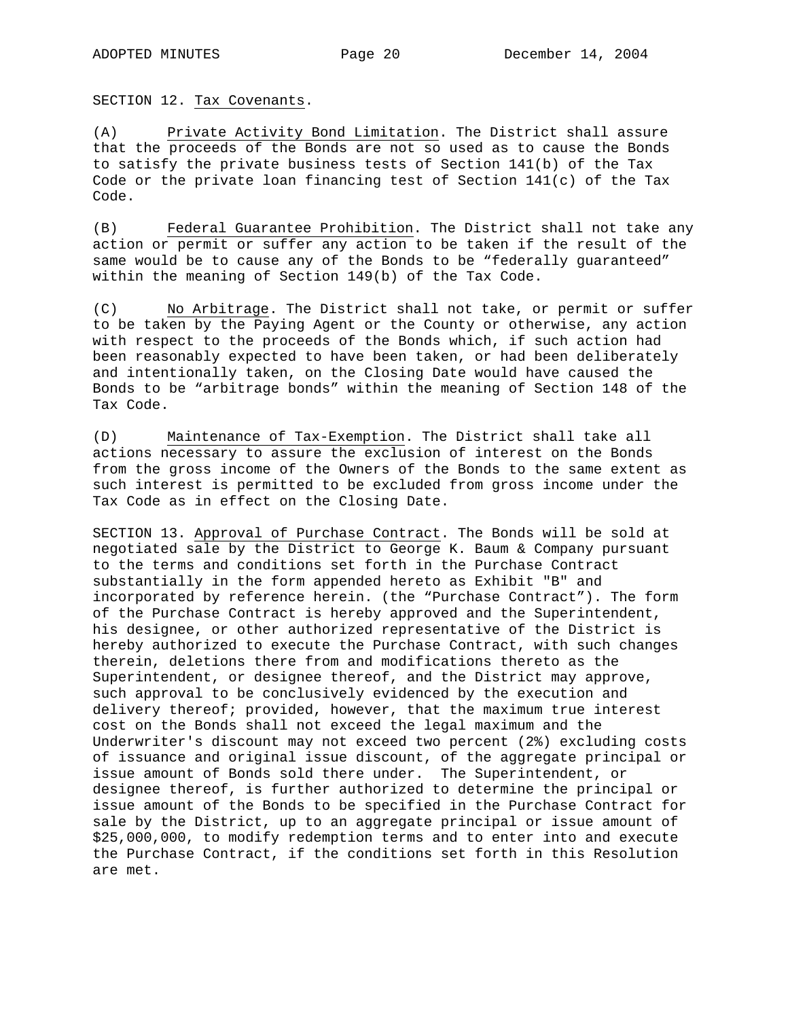SECTION 12. Tax Covenants.

(A) Private Activity Bond Limitation. The District shall assure that the proceeds of the Bonds are not so used as to cause the Bonds to satisfy the private business tests of Section 141(b) of the Tax Code or the private loan financing test of Section  $141(c)$  of the Tax Code.

(B) Federal Guarantee Prohibition. The District shall not take any action or permit or suffer any action to be taken if the result of the same would be to cause any of the Bonds to be "federally guaranteed" within the meaning of Section 149(b) of the Tax Code.

(C) No Arbitrage. The District shall not take, or permit or suffer to be taken by the Paying Agent or the County or otherwise, any action with respect to the proceeds of the Bonds which, if such action had been reasonably expected to have been taken, or had been deliberately and intentionally taken, on the Closing Date would have caused the Bonds to be "arbitrage bonds" within the meaning of Section 148 of the Tax Code.

(D) Maintenance of Tax-Exemption. The District shall take all actions necessary to assure the exclusion of interest on the Bonds from the gross income of the Owners of the Bonds to the same extent as such interest is permitted to be excluded from gross income under the Tax Code as in effect on the Closing Date.

SECTION 13. Approval of Purchase Contract. The Bonds will be sold at negotiated sale by the District to George K. Baum & Company pursuant to the terms and conditions set forth in the Purchase Contract substantially in the form appended hereto as Exhibit "B" and incorporated by reference herein. (the "Purchase Contract"). The form of the Purchase Contract is hereby approved and the Superintendent, his designee, or other authorized representative of the District is hereby authorized to execute the Purchase Contract, with such changes therein, deletions there from and modifications thereto as the Superintendent, or designee thereof, and the District may approve, such approval to be conclusively evidenced by the execution and delivery thereof; provided, however, that the maximum true interest cost on the Bonds shall not exceed the legal maximum and the Underwriter's discount may not exceed two percent (2%) excluding costs of issuance and original issue discount, of the aggregate principal or issue amount of Bonds sold there under. The Superintendent, or designee thereof, is further authorized to determine the principal or issue amount of the Bonds to be specified in the Purchase Contract for sale by the District, up to an aggregate principal or issue amount of \$25,000,000, to modify redemption terms and to enter into and execute the Purchase Contract, if the conditions set forth in this Resolution are met.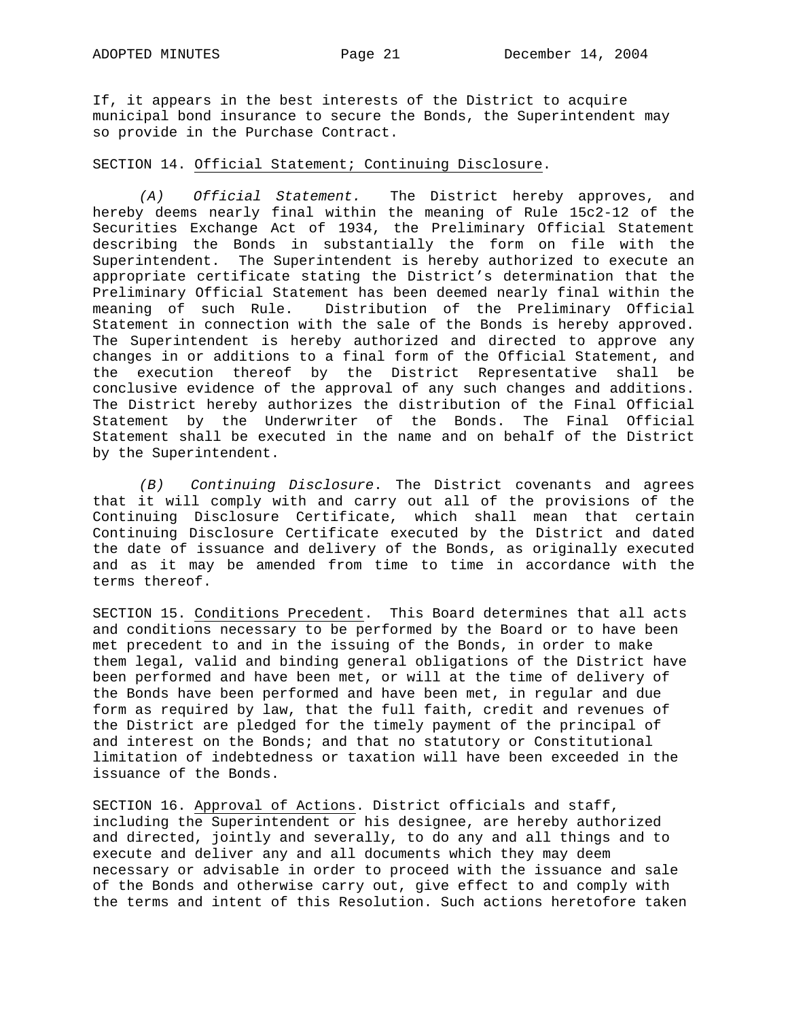If, it appears in the best interests of the District to acquire municipal bond insurance to secure the Bonds, the Superintendent may so provide in the Purchase Contract.

# SECTION 14. Official Statement; Continuing Disclosure.

*(A) Official Statement.* The District hereby approves, and hereby deems nearly final within the meaning of Rule 15c2-12 of the Securities Exchange Act of 1934, the Preliminary Official Statement describing the Bonds in substantially the form on file with the Superintendent. The Superintendent is hereby authorized to execute an appropriate certificate stating the District's determination that the Preliminary Official Statement has been deemed nearly final within the meaning of such Rule. Distribution of the Preliminary Official Statement in connection with the sale of the Bonds is hereby approved. The Superintendent is hereby authorized and directed to approve any changes in or additions to a final form of the Official Statement, and the execution thereof by the District Representative shall be conclusive evidence of the approval of any such changes and additions. The District hereby authorizes the distribution of the Final Official Statement by the Underwriter of the Bonds. The Final Official Statement shall be executed in the name and on behalf of the District by the Superintendent.

*(B) Continuing Disclosure*. The District covenants and agrees that it will comply with and carry out all of the provisions of the Continuing Disclosure Certificate, which shall mean that certain Continuing Disclosure Certificate executed by the District and dated the date of issuance and delivery of the Bonds, as originally executed and as it may be amended from time to time in accordance with the terms thereof.

SECTION 15. Conditions Precedent. This Board determines that all acts and conditions necessary to be performed by the Board or to have been met precedent to and in the issuing of the Bonds, in order to make them legal, valid and binding general obligations of the District have been performed and have been met, or will at the time of delivery of the Bonds have been performed and have been met, in regular and due form as required by law, that the full faith, credit and revenues of the District are pledged for the timely payment of the principal of and interest on the Bonds; and that no statutory or Constitutional limitation of indebtedness or taxation will have been exceeded in the issuance of the Bonds.

SECTION 16. Approval of Actions. District officials and staff, including the Superintendent or his designee, are hereby authorized and directed, jointly and severally, to do any and all things and to execute and deliver any and all documents which they may deem necessary or advisable in order to proceed with the issuance and sale of the Bonds and otherwise carry out, give effect to and comply with the terms and intent of this Resolution. Such actions heretofore taken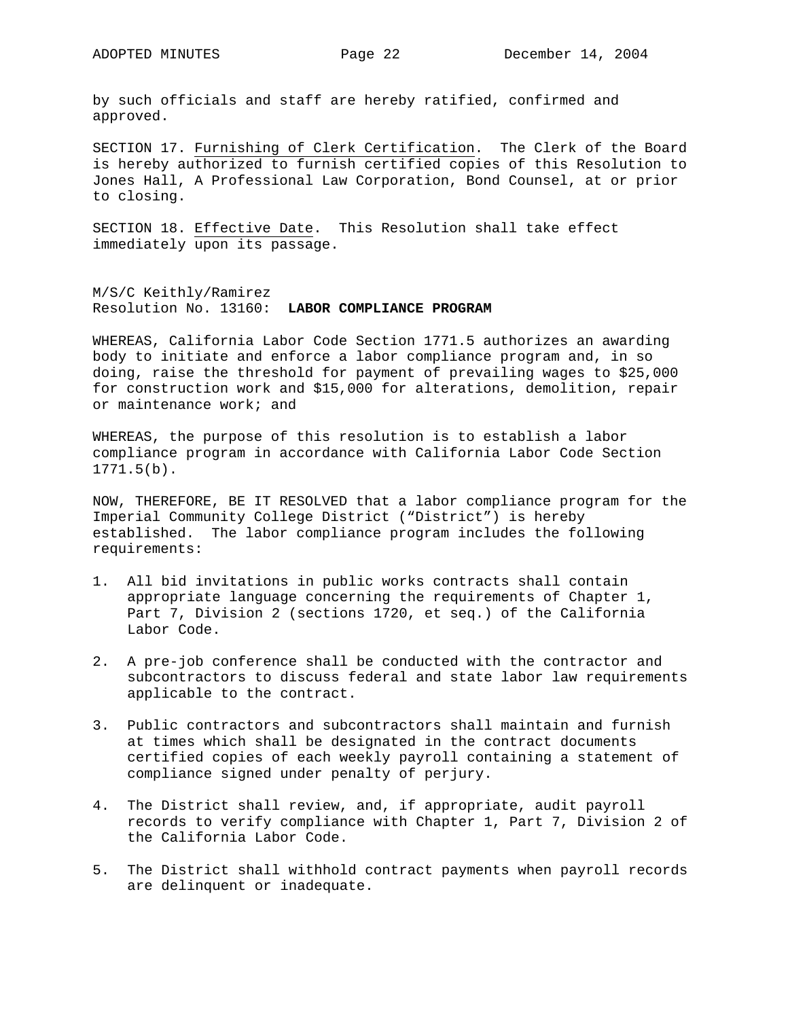by such officials and staff are hereby ratified, confirmed and approved.

SECTION 17. Furnishing of Clerk Certification. The Clerk of the Board is hereby authorized to furnish certified copies of this Resolution to Jones Hall, A Professional Law Corporation, Bond Counsel, at or prior to closing.

SECTION 18. Effective Date. This Resolution shall take effect immediately upon its passage.

M/S/C Keithly/Ramirez Resolution No. 13160: **LABOR COMPLIANCE PROGRAM**

WHEREAS, California Labor Code Section 1771.5 authorizes an awarding body to initiate and enforce a labor compliance program and, in so doing, raise the threshold for payment of prevailing wages to \$25,000 for construction work and \$15,000 for alterations, demolition, repair or maintenance work; and

WHEREAS, the purpose of this resolution is to establish a labor compliance program in accordance with California Labor Code Section 1771.5(b).

NOW, THEREFORE, BE IT RESOLVED that a labor compliance program for the Imperial Community College District ("District") is hereby established. The labor compliance program includes the following requirements:

- 1. All bid invitations in public works contracts shall contain appropriate language concerning the requirements of Chapter 1, Part 7, Division 2 (sections 1720, et seq.) of the California Labor Code.
- 2. A pre-job conference shall be conducted with the contractor and subcontractors to discuss federal and state labor law requirements applicable to the contract.
- 3. Public contractors and subcontractors shall maintain and furnish at times which shall be designated in the contract documents certified copies of each weekly payroll containing a statement of compliance signed under penalty of perjury.
- 4. The District shall review, and, if appropriate, audit payroll records to verify compliance with Chapter 1, Part 7, Division 2 of the California Labor Code.
- 5. The District shall withhold contract payments when payroll records are delinquent or inadequate.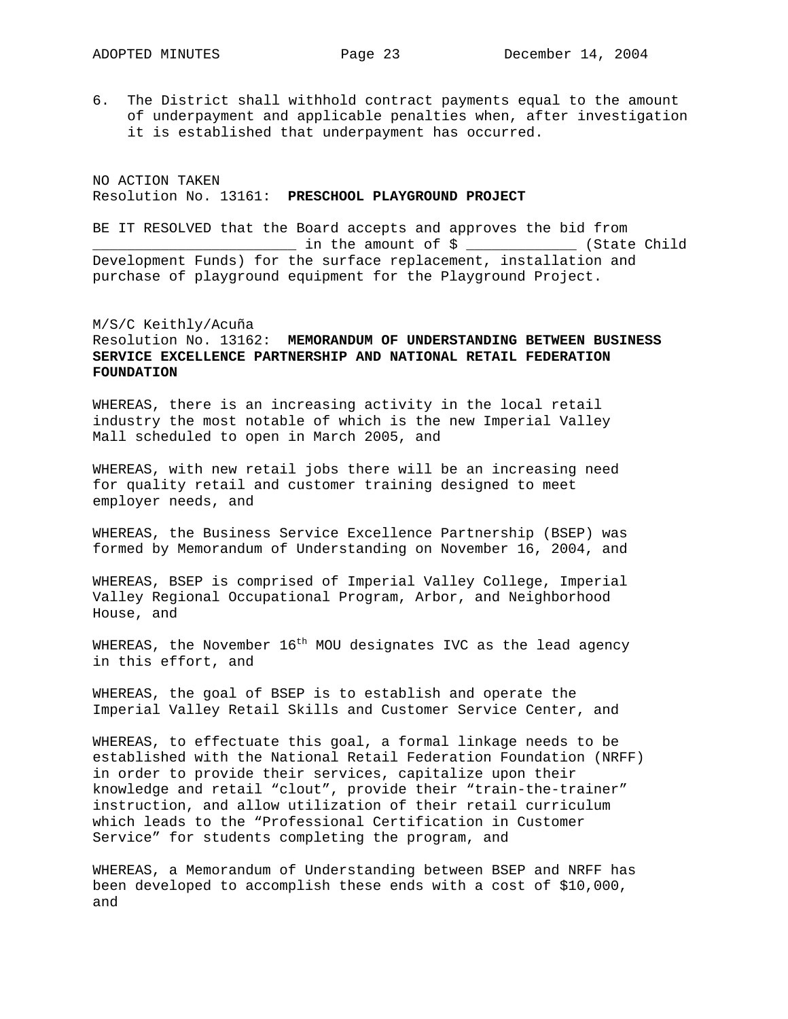6. The District shall withhold contract payments equal to the amount of underpayment and applicable penalties when, after investigation it is established that underpayment has occurred.

NO ACTION TAKEN Resolution No. 13161: **PRESCHOOL PLAYGROUND PROJECT**

BE IT RESOLVED that the Board accepts and approves the bid from \_\_\_\_\_\_\_\_\_\_\_\_\_\_\_\_\_\_\_\_\_\_\_\_ in the amount of \$ \_\_\_\_\_\_\_\_\_\_\_\_\_ (State Child Development Funds) for the surface replacement, installation and purchase of playground equipment for the Playground Project.

M/S/C Keithly/Acuña Resolution No. 13162: **MEMORANDUM OF UNDERSTANDING BETWEEN BUSINESS SERVICE EXCELLENCE PARTNERSHIP AND NATIONAL RETAIL FEDERATION FOUNDATION** 

WHEREAS, there is an increasing activity in the local retail industry the most notable of which is the new Imperial Valley Mall scheduled to open in March 2005, and

WHEREAS, with new retail jobs there will be an increasing need for quality retail and customer training designed to meet employer needs, and

WHEREAS, the Business Service Excellence Partnership (BSEP) was formed by Memorandum of Understanding on November 16, 2004, and

WHEREAS, BSEP is comprised of Imperial Valley College, Imperial Valley Regional Occupational Program, Arbor, and Neighborhood House, and

WHEREAS, the November  $16<sup>th</sup>$  MOU designates IVC as the lead agency in this effort, and

WHEREAS, the goal of BSEP is to establish and operate the Imperial Valley Retail Skills and Customer Service Center, and

WHEREAS, to effectuate this goal, a formal linkage needs to be established with the National Retail Federation Foundation (NRFF) in order to provide their services, capitalize upon their knowledge and retail "clout", provide their "train-the-trainer" instruction, and allow utilization of their retail curriculum which leads to the "Professional Certification in Customer Service" for students completing the program, and

WHEREAS, a Memorandum of Understanding between BSEP and NRFF has been developed to accomplish these ends with a cost of \$10,000, and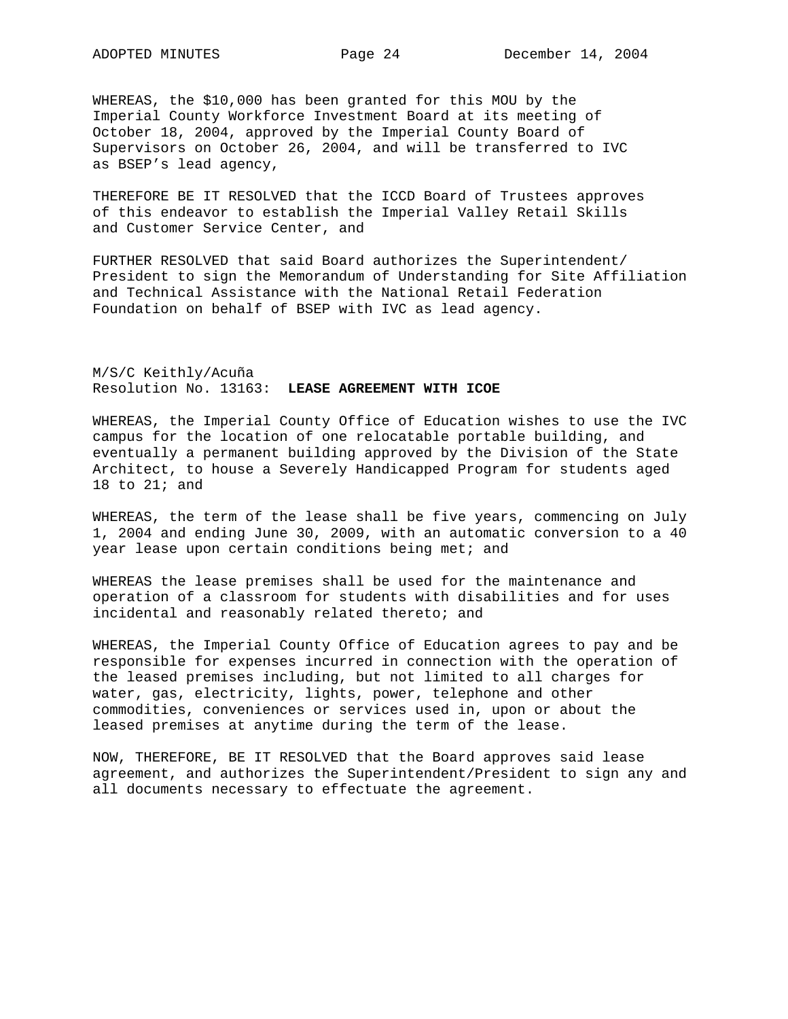WHEREAS, the \$10,000 has been granted for this MOU by the Imperial County Workforce Investment Board at its meeting of October 18, 2004, approved by the Imperial County Board of Supervisors on October 26, 2004, and will be transferred to IVC as BSEP's lead agency,

THEREFORE BE IT RESOLVED that the ICCD Board of Trustees approves of this endeavor to establish the Imperial Valley Retail Skills and Customer Service Center, and

FURTHER RESOLVED that said Board authorizes the Superintendent/ President to sign the Memorandum of Understanding for Site Affiliation and Technical Assistance with the National Retail Federation Foundation on behalf of BSEP with IVC as lead agency.

M/S/C Keithly/Acuña Resolution No. 13163: **LEASE AGREEMENT WITH ICOE** 

WHEREAS, the Imperial County Office of Education wishes to use the IVC campus for the location of one relocatable portable building, and eventually a permanent building approved by the Division of the State Architect, to house a Severely Handicapped Program for students aged 18 to 21; and

WHEREAS, the term of the lease shall be five years, commencing on July 1, 2004 and ending June 30, 2009, with an automatic conversion to a 40 year lease upon certain conditions being met; and

WHEREAS the lease premises shall be used for the maintenance and operation of a classroom for students with disabilities and for uses incidental and reasonably related thereto; and

WHEREAS, the Imperial County Office of Education agrees to pay and be responsible for expenses incurred in connection with the operation of the leased premises including, but not limited to all charges for water, gas, electricity, lights, power, telephone and other commodities, conveniences or services used in, upon or about the leased premises at anytime during the term of the lease.

NOW, THEREFORE, BE IT RESOLVED that the Board approves said lease agreement, and authorizes the Superintendent/President to sign any and all documents necessary to effectuate the agreement.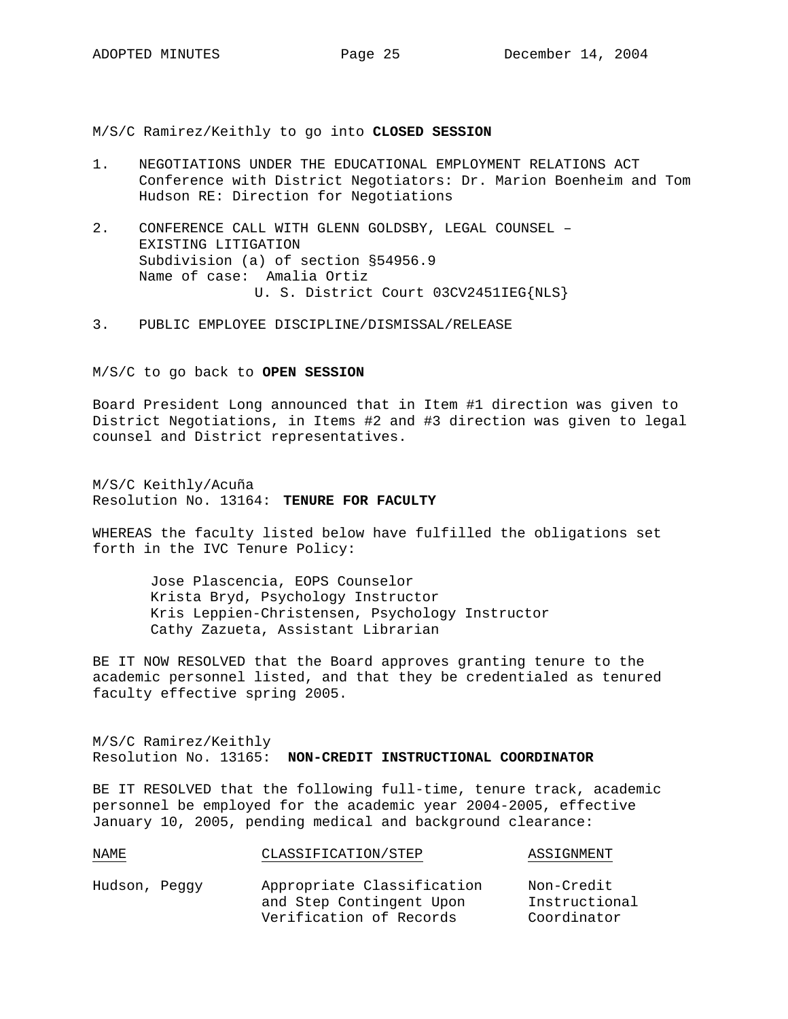M/S/C Ramirez/Keithly to go into **CLOSED SESSION**

- 1. NEGOTIATIONS UNDER THE EDUCATIONAL EMPLOYMENT RELATIONS ACT Conference with District Negotiators: Dr. Marion Boenheim and Tom Hudson RE: Direction for Negotiations
- 2. CONFERENCE CALL WITH GLENN GOLDSBY, LEGAL COUNSEL EXISTING LITIGATION Subdivision (a) of section §54956.9 Name of case: Amalia Ortiz U. S. District Court 03CV2451IEG{NLS}
- 3. PUBLIC EMPLOYEE DISCIPLINE/DISMISSAL/RELEASE

M/S/C to go back to **OPEN SESSION**

Board President Long announced that in Item #1 direction was given to District Negotiations, in Items #2 and #3 direction was given to legal counsel and District representatives.

M/S/C Keithly/Acuña Resolution No. 13164: **TENURE FOR FACULTY**

WHEREAS the faculty listed below have fulfilled the obligations set forth in the IVC Tenure Policy:

 Jose Plascencia, EOPS Counselor Krista Bryd, Psychology Instructor Kris Leppien-Christensen, Psychology Instructor Cathy Zazueta, Assistant Librarian

BE IT NOW RESOLVED that the Board approves granting tenure to the academic personnel listed, and that they be credentialed as tenured faculty effective spring 2005.

M/S/C Ramirez/Keithly Resolution No. 13165: **NON-CREDIT INSTRUCTIONAL COORDINATOR**

BE IT RESOLVED that the following full-time, tenure track, academic personnel be employed for the academic year 2004-2005, effective January 10, 2005, pending medical and background clearance:

| Hudson, Peggy | Appropriate Classification | Non-Credit    |
|---------------|----------------------------|---------------|
|               | and Step Contingent Upon   | Instructional |
|               | Verification of Records    | Coordinator   |

NAME CLASSIFICATION/STEP ASSIGNMENT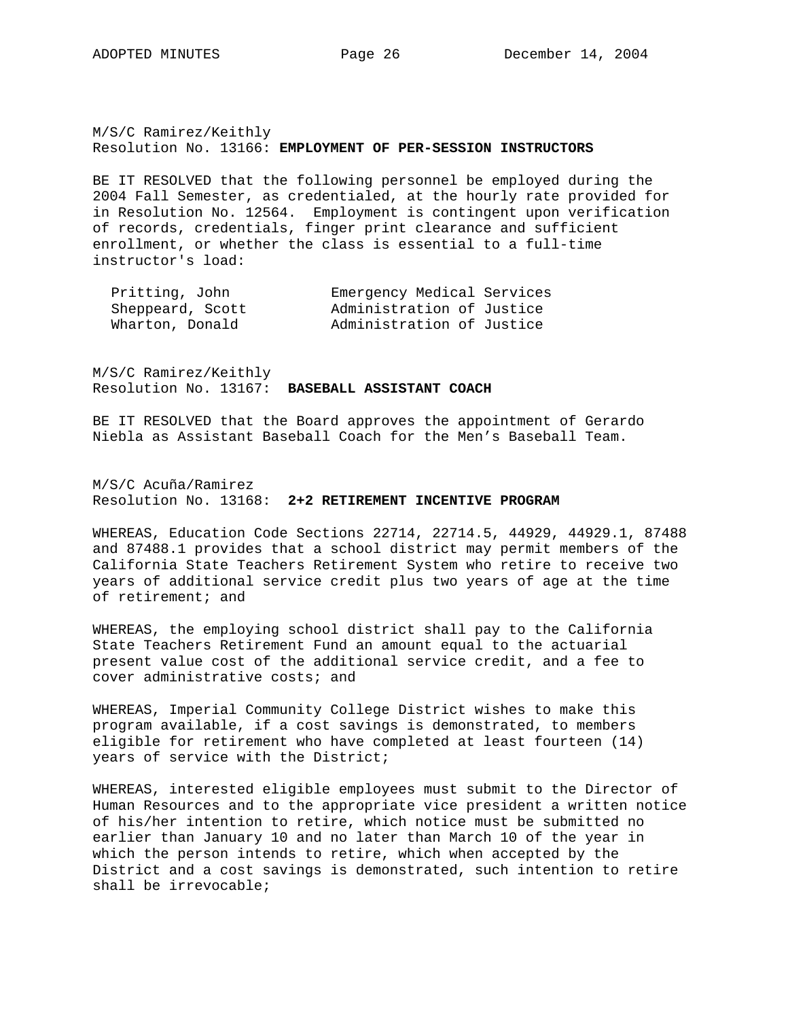M/S/C Ramirez/Keithly Resolution No. 13166: **EMPLOYMENT OF PER-SESSION INSTRUCTORS**

BE IT RESOLVED that the following personnel be employed during the 2004 Fall Semester, as credentialed, at the hourly rate provided for in Resolution No. 12564. Employment is contingent upon verification of records, credentials, finger print clearance and sufficient enrollment, or whether the class is essential to a full-time instructor's load:

| Pritting, John   | Emergency Medical Services |  |
|------------------|----------------------------|--|
| Sheppeard, Scott | Administration of Justice  |  |
| Wharton, Donald  | Administration of Justice  |  |

M/S/C Ramirez/Keithly Resolution No. 13167: **BASEBALL ASSISTANT COACH**

BE IT RESOLVED that the Board approves the appointment of Gerardo Niebla as Assistant Baseball Coach for the Men's Baseball Team.

M/S/C Acuña/Ramirez Resolution No. 13168: **2+2 RETIREMENT INCENTIVE PROGRAM** 

WHEREAS, Education Code Sections 22714, 22714.5, 44929, 44929.1, 87488 and 87488.1 provides that a school district may permit members of the California State Teachers Retirement System who retire to receive two years of additional service credit plus two years of age at the time of retirement; and

WHEREAS, the employing school district shall pay to the California State Teachers Retirement Fund an amount equal to the actuarial present value cost of the additional service credit, and a fee to cover administrative costs; and

WHEREAS, Imperial Community College District wishes to make this program available, if a cost savings is demonstrated, to members eligible for retirement who have completed at least fourteen (14) years of service with the District;

WHEREAS, interested eligible employees must submit to the Director of Human Resources and to the appropriate vice president a written notice of his/her intention to retire, which notice must be submitted no earlier than January 10 and no later than March 10 of the year in which the person intends to retire, which when accepted by the District and a cost savings is demonstrated, such intention to retire shall be irrevocable;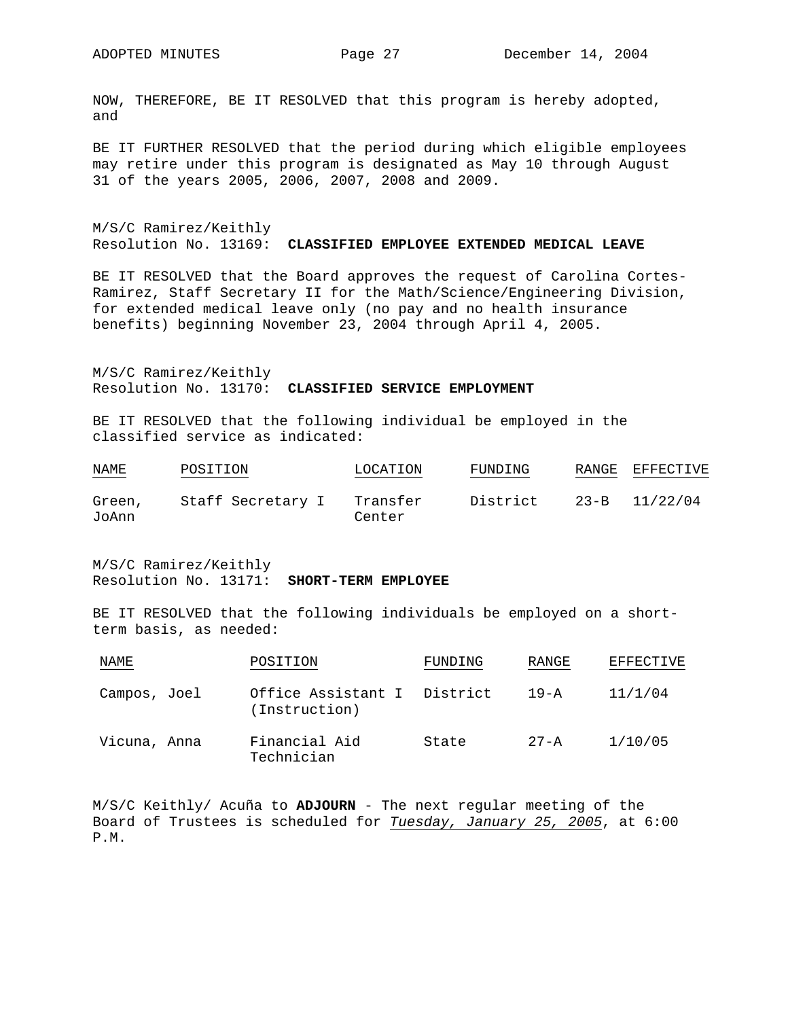NOW, THEREFORE, BE IT RESOLVED that this program is hereby adopted, and

BE IT FURTHER RESOLVED that the period during which eligible employees may retire under this program is designated as May 10 through August 31 of the years 2005, 2006, 2007, 2008 and 2009.

M/S/C Ramirez/Keithly Resolution No. 13169: **CLASSIFIED EMPLOYEE EXTENDED MEDICAL LEAVE** 

BE IT RESOLVED that the Board approves the request of Carolina Cortes-Ramirez, Staff Secretary II for the Math/Science/Engineering Division, for extended medical leave only (no pay and no health insurance benefits) beginning November 23, 2004 through April 4, 2005.

M/S/C Ramirez/Keithly Resolution No. 13170: **CLASSIFIED SERVICE EMPLOYMENT** 

BE IT RESOLVED that the following individual be employed in the classified service as indicated:

| NAME<br><b>Contract Contract Contract Contract</b> | POSITION          | LOCATION | FUNDING  | RANGE    | EFFECTIVE |  |
|----------------------------------------------------|-------------------|----------|----------|----------|-----------|--|
| Green,                                             | Staff Secretary I | Transfer | District | $23 - B$ | 11/22/04  |  |
| JoAnn                                              |                   | Center   |          |          |           |  |

M/S/C Ramirez/Keithly Resolution No. 13171: **SHORT-TERM EMPLOYEE**

BE IT RESOLVED that the following individuals be employed on a shortterm basis, as needed:

| NAME         | POSITION                                     | FUNDING | RANGE    | EFFECTIVE |
|--------------|----------------------------------------------|---------|----------|-----------|
| Campos, Joel | Office Assistant I District<br>(Instruction) |         | $19 - A$ | 11/1/04   |
| Vicuna, Anna | Financial Aid<br>Technician                  | State   | $27 - A$ | 1/10/05   |

M/S/C Keithly/ Acuña to **ADJOURN** - The next regular meeting of the Board of Trustees is scheduled for *Tuesday, January 25, 2005*, at 6:00 P.M.